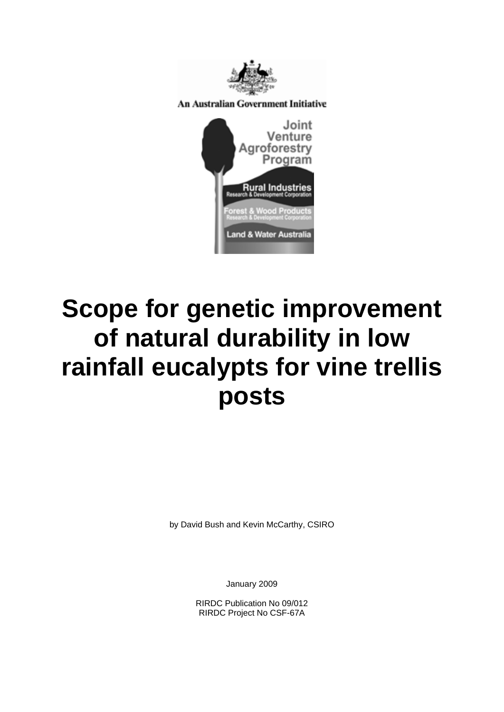

**An Australian Government Initiative** 



# **Scope for genetic improvement of natural durability in low rainfall eucalypts for vine trellis posts**

by David Bush and Kevin McCarthy, CSIRO

January 2009

RIRDC Publication No 09/012 RIRDC Project No CSF-67A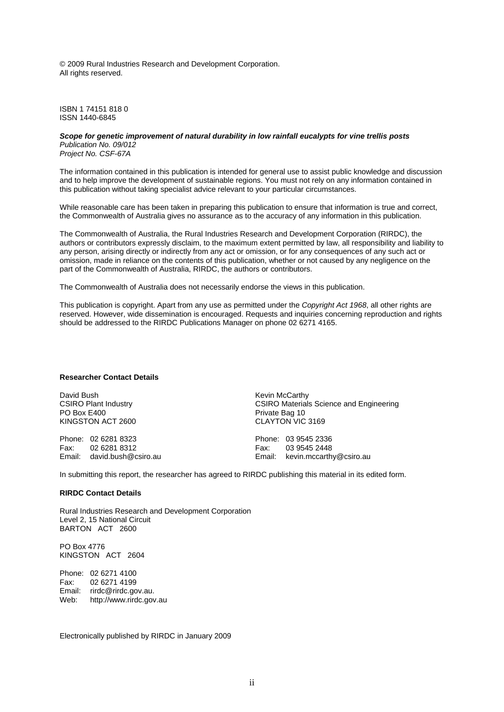© 2009 Rural Industries Research and Development Corporation. All rights reserved.

ISBN 1 74151 818 0 ISSN 1440-6845

#### *Scope for genetic improvement of natural durability in low rainfall eucalypts for vine trellis posts Publication No. 09/012*

*Project No. CSF-67A* 

The information contained in this publication is intended for general use to assist public knowledge and discussion and to help improve the development of sustainable regions. You must not rely on any information contained in this publication without taking specialist advice relevant to your particular circumstances.

While reasonable care has been taken in preparing this publication to ensure that information is true and correct, the Commonwealth of Australia gives no assurance as to the accuracy of any information in this publication.

The Commonwealth of Australia, the Rural Industries Research and Development Corporation (RIRDC), the authors or contributors expressly disclaim, to the maximum extent permitted by law, all responsibility and liability to any person, arising directly or indirectly from any act or omission, or for any consequences of any such act or omission, made in reliance on the contents of this publication, whether or not caused by any negligence on the part of the Commonwealth of Australia, RIRDC, the authors or contributors.

The Commonwealth of Australia does not necessarily endorse the views in this publication.

This publication is copyright. Apart from any use as permitted under the *Copyright Act 1968*, all other rights are reserved. However, wide dissemination is encouraged. Requests and inquiries concerning reproduction and rights should be addressed to the RIRDC Publications Manager on phone 02 6271 4165.

#### **Researcher Contact Details**

David Bush CSIRO Plant Industry PO Box E400 KINGSTON ACT 2600

Phone: 02 6281 8323 Fax: 02 6281 8312 Email: david.bush@csiro.au Kevin McCarthy CSIRO Materials Science and Engineering Private Bag 10 CLAYTON VIC 3169

Phone: 03 9545 2336 Fax: 03 9545 2448 Email: kevin.mccarthy@csiro.au

In submitting this report, the researcher has agreed to RIRDC publishing this material in its edited form.

#### **RIRDC Contact Details**

Rural Industries Research and Development Corporation Level 2, 15 National Circuit BARTON ACT 2600

PO Box 4776 KINGSTON ACT 2604

Phone: 02 6271 4100 Fax: 02 6271 4199 Email: rirdc@rirdc.gov.au. Web: http://www.rirdc.gov.au

Electronically published by RIRDC in January 2009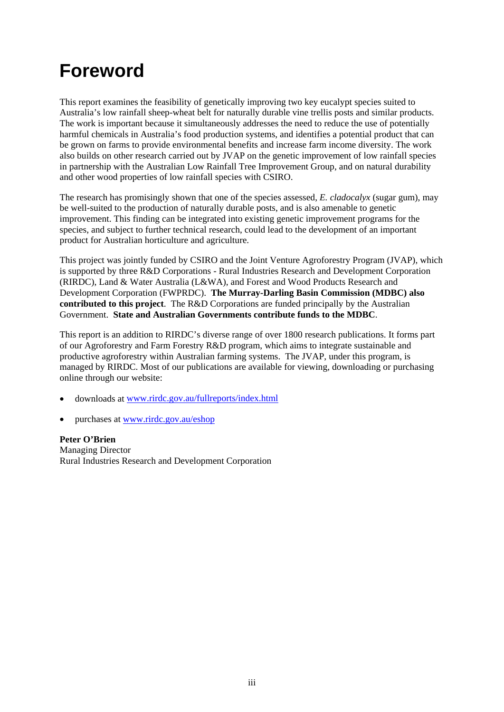## <span id="page-2-0"></span>**Foreword**

This report examines the feasibility of genetically improving two key eucalypt species suited to Australia's low rainfall sheep-wheat belt for naturally durable vine trellis posts and similar products. The work is important because it simultaneously addresses the need to reduce the use of potentially harmful chemicals in Australia's food production systems, and identifies a potential product that can be grown on farms to provide environmental benefits and increase farm income diversity. The work also builds on other research carried out by JVAP on the genetic improvement of low rainfall species in partnership with the Australian Low Rainfall Tree Improvement Group, and on natural durability and other wood properties of low rainfall species with CSIRO.

The research has promisingly shown that one of the species assessed, *E. cladocalyx* (sugar gum), may be well-suited to the production of naturally durable posts, and is also amenable to genetic improvement. This finding can be integrated into existing genetic improvement programs for the species, and subject to further technical research, could lead to the development of an important product for Australian horticulture and agriculture.

This project was jointly funded by CSIRO and the Joint Venture Agroforestry Program (JVAP), which is supported by three R&D Corporations - Rural Industries Research and Development Corporation (RIRDC), Land & Water Australia (L&WA), and Forest and Wood Products Research and Development Corporation (FWPRDC). **The Murray-Darling Basin Commission (MDBC) also contributed to this project**. The R&D Corporations are funded principally by the Australian Government. **State and Australian Governments contribute funds to the MDBC**.

This report is an addition to RIRDC's diverse range of over 1800 research publications. It forms part of our Agroforestry and Farm Forestry R&D program, which aims to integrate sustainable and productive agroforestry within Australian farming systems. The JVAP, under this program, is managed by RIRDC. Most of our publications are available for viewing, downloading or purchasing online through our website:

- downloads at [www.rirdc.gov.au/fullreports/index.html](http://www.rirdc.gov.au/fullreports/index.html)
- purchases at [www.rirdc.gov.au/eshop](http://www.rirdc.gov.au/eshop)

**Peter O'Brien**  Managing Director Rural Industries Research and Development Corporation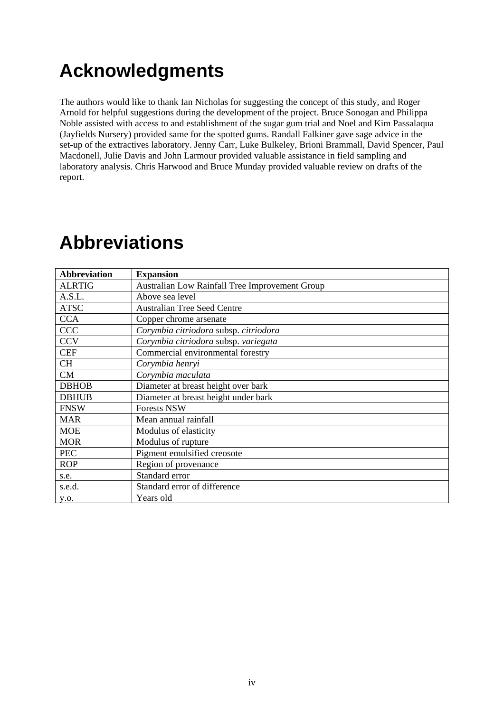## <span id="page-3-0"></span>**Acknowledgments**

The authors would like to thank Ian Nicholas for suggesting the concept of this study, and Roger Arnold for helpful suggestions during the development of the project. Bruce Sonogan and Philippa Noble assisted with access to and establishment of the sugar gum trial and Noel and Kim Passalaqua (Jayfields Nursery) provided same for the spotted gums. Randall Falkiner gave sage advice in the set-up of the extractives laboratory. Jenny Carr, Luke Bulkeley, Brioni Brammall, David Spencer, Paul Macdonell, Julie Davis and John Larmour provided valuable assistance in field sampling and laboratory analysis. Chris Harwood and Bruce Munday provided valuable review on drafts of the report.

#### **Abbreviation Expansion**  ALRTIG Australian Low Rainfall Tree Improvement Group A.S.L. Above sea level ATSC | Australian Tree Seed Centre CCA Copper chrome arsenate CCC *Corymbia citriodora* subsp. *citriodora* CCV *Corymbia citriodora* subsp. *variegata* CEF Commercial environmental forestry CH *Corymbia henryi* CM *Corymbia maculata* DBHOB Diameter at breast height over bark DBHUB Diameter at breast height under bark FNSW Forests NSW MAR Mean annual rainfall MOE Modulus of elasticity MOR Modulus of rupture PEC Pigment emulsified creosote ROP Region of provenance s.e. Standard error s.e.d. Standard error of difference y.o. Years old

## **Abbreviations**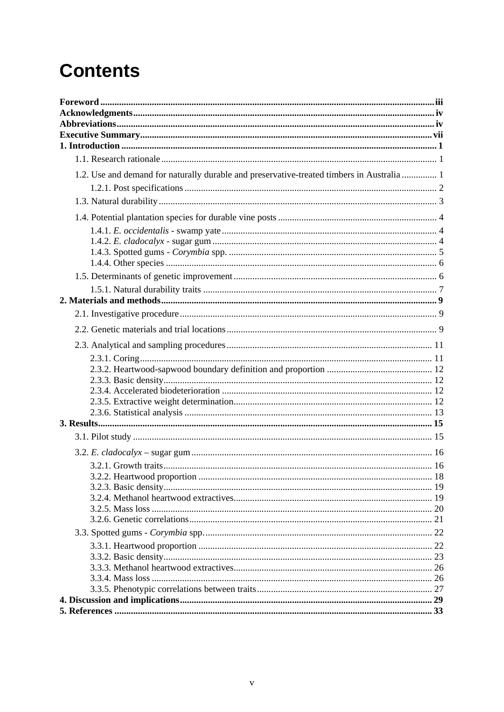## **Contents**

| 1.2. Use and demand for naturally durable and preservative-treated timbers in Australia  1 |  |
|--------------------------------------------------------------------------------------------|--|
|                                                                                            |  |
|                                                                                            |  |
|                                                                                            |  |
|                                                                                            |  |
|                                                                                            |  |
|                                                                                            |  |
|                                                                                            |  |
|                                                                                            |  |
|                                                                                            |  |
|                                                                                            |  |
|                                                                                            |  |
|                                                                                            |  |
|                                                                                            |  |
|                                                                                            |  |
|                                                                                            |  |
|                                                                                            |  |
|                                                                                            |  |
|                                                                                            |  |
|                                                                                            |  |
|                                                                                            |  |
|                                                                                            |  |
|                                                                                            |  |
|                                                                                            |  |
|                                                                                            |  |
|                                                                                            |  |
|                                                                                            |  |
|                                                                                            |  |
|                                                                                            |  |
|                                                                                            |  |
|                                                                                            |  |
|                                                                                            |  |
|                                                                                            |  |
|                                                                                            |  |
|                                                                                            |  |
|                                                                                            |  |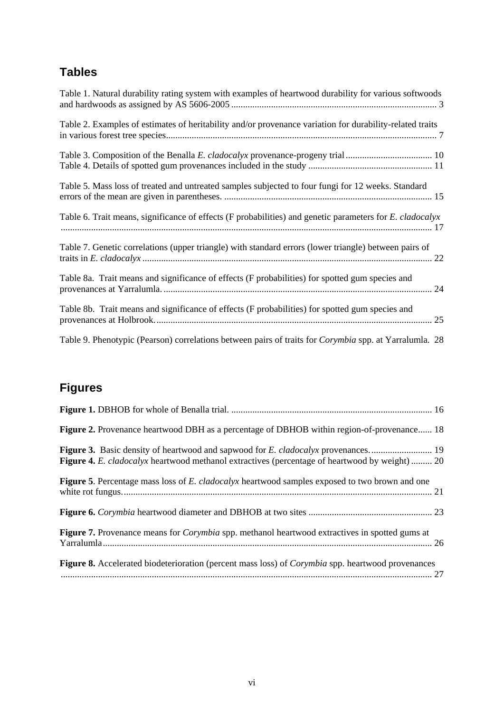## **Tables**

| Table 1. Natural durability rating system with examples of heartwood durability for various softwoods    |
|----------------------------------------------------------------------------------------------------------|
| Table 2. Examples of estimates of heritability and/or provenance variation for durability-related traits |
|                                                                                                          |
| Table 5. Mass loss of treated and untreated samples subjected to four fungi for 12 weeks. Standard       |
| Table 6. Trait means, significance of effects (F probabilities) and genetic parameters for E. cladocalyx |
| Table 7. Genetic correlations (upper triangle) with standard errors (lower triangle) between pairs of    |
| Table 8a. Trait means and significance of effects (F probabilities) for spotted gum species and          |
| Table 8b. Trait means and significance of effects (F probabilities) for spotted gum species and          |
| Table 9. Phenotypic (Pearson) correlations between pairs of traits for Corymbia spp. at Yarralumla. 28   |

**Figures** 

| <b>Figure 2.</b> Provenance heartwood DBH as a percentage of DBHOB within region-of-provenance 18               |
|-----------------------------------------------------------------------------------------------------------------|
| <b>Figure 4.</b> E. cladocalyx heartwood methanol extractives (percentage of heartwood by weight)  20           |
| <b>Figure 5.</b> Percentage mass loss of E. cladocalyx heartwood samples exposed to two brown and one           |
|                                                                                                                 |
| Figure 7. Provenance means for <i>Corymbia</i> spp. methanol heartwood extractives in spotted gums at           |
| <b>Figure 8.</b> Accelerated biodeterioration (percent mass loss) of <i>Corymbia</i> spp. heartwood provenances |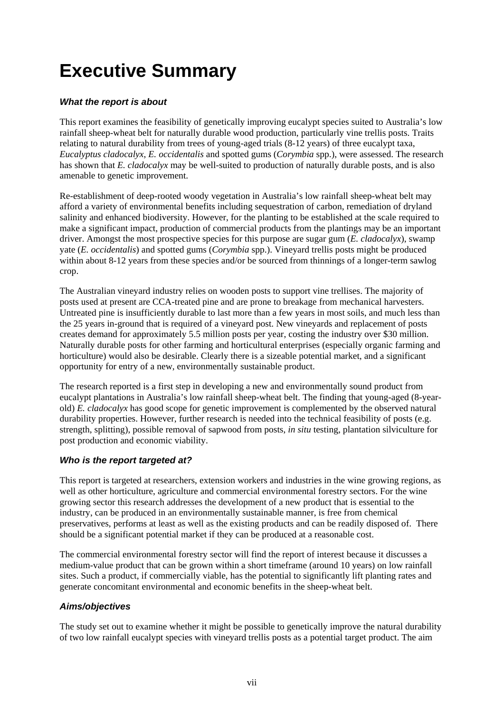## <span id="page-6-0"></span>**Executive Summary**

#### *What the report is about*

This report examines the feasibility of genetically improving eucalypt species suited to Australia's low rainfall sheep-wheat belt for naturally durable wood production, particularly vine trellis posts. Traits relating to natural durability from trees of young-aged trials (8-12 years) of three eucalypt taxa, *Eucalyptus cladocalyx*, *E. occidentalis* and spotted gums (*Corymbia* spp.), were assessed. The research has shown that *E. cladocalyx* may be well-suited to production of naturally durable posts, and is also amenable to genetic improvement.

Re-establishment of deep-rooted woody vegetation in Australia's low rainfall sheep-wheat belt may afford a variety of environmental benefits including sequestration of carbon, remediation of dryland salinity and enhanced biodiversity. However, for the planting to be established at the scale required to make a significant impact, production of commercial products from the plantings may be an important driver. Amongst the most prospective species for this purpose are sugar gum (*E. cladocalyx*), swamp yate (*E. occidentalis*) and spotted gums (*Corymbia* spp.). Vineyard trellis posts might be produced within about 8-12 years from these species and/or be sourced from thinnings of a longer-term sawlog crop.

The Australian vineyard industry relies on wooden posts to support vine trellises. The majority of posts used at present are CCA-treated pine and are prone to breakage from mechanical harvesters. Untreated pine is insufficiently durable to last more than a few years in most soils, and much less than the 25 years in-ground that is required of a vineyard post. New vineyards and replacement of posts creates demand for approximately 5.5 million posts per year, costing the industry over \$30 million. Naturally durable posts for other farming and horticultural enterprises (especially organic farming and horticulture) would also be desirable. Clearly there is a sizeable potential market, and a significant opportunity for entry of a new, environmentally sustainable product.

The research reported is a first step in developing a new and environmentally sound product from eucalypt plantations in Australia's low rainfall sheep-wheat belt. The finding that young-aged (8-yearold) *E. cladocalyx* has good scope for genetic improvement is complemented by the observed natural durability properties. However, further research is needed into the technical feasibility of posts (e.g. strength, splitting), possible removal of sapwood from posts, *in situ* testing, plantation silviculture for post production and economic viability.

#### *Who is the report targeted at?*

This report is targeted at researchers, extension workers and industries in the wine growing regions, as well as other horticulture, agriculture and commercial environmental forestry sectors. For the wine growing sector this research addresses the development of a new product that is essential to the industry, can be produced in an environmentally sustainable manner, is free from chemical preservatives, performs at least as well as the existing products and can be readily disposed of. There should be a significant potential market if they can be produced at a reasonable cost.

The commercial environmental forestry sector will find the report of interest because it discusses a medium-value product that can be grown within a short timeframe (around 10 years) on low rainfall sites. Such a product, if commercially viable, has the potential to significantly lift planting rates and generate concomitant environmental and economic benefits in the sheep-wheat belt.

#### *Aims/objectives*

The study set out to examine whether it might be possible to genetically improve the natural durability of two low rainfall eucalypt species with vineyard trellis posts as a potential target product. The aim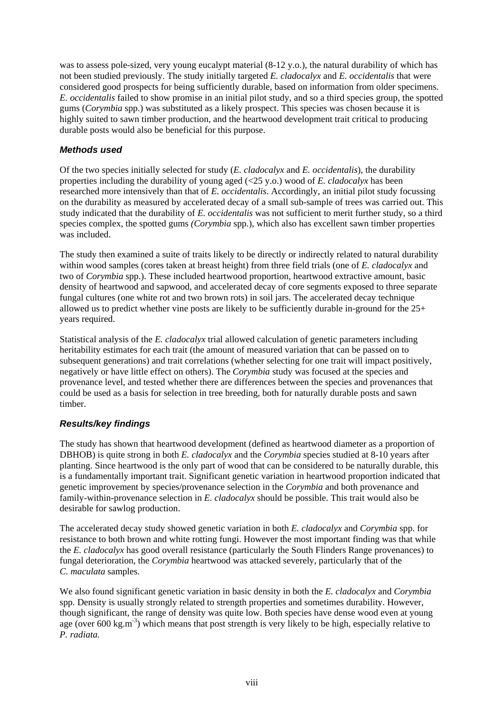was to assess pole-sized, very young eucalypt material (8-12 y.o.), the natural durability of which has not been studied previously. The study initially targeted *E. cladocalyx* and *E. occidentalis* that were considered good prospects for being sufficiently durable, based on information from older specimens. *E. occidentalis* failed to show promise in an initial pilot study, and so a third species group, the spotted gums (*Corymbia* spp.) was substituted as a likely prospect. This species was chosen because it is highly suited to sawn timber production, and the heartwood development trait critical to producing durable posts would also be beneficial for this purpose.

#### *Methods used*

Of the two species initially selected for study (*E. cladocalyx* and *E. occidentalis*), the durability properties including the durability of young aged (<25 y.o.) wood of *E. cladocalyx* has been researched more intensively than that of *E. occidentalis*. Accordingly, an initial pilot study focussing on the durability as measured by accelerated decay of a small sub-sample of trees was carried out. This study indicated that the durability of *E. occidentalis* was not sufficient to merit further study, so a third species complex, the spotted gums *(Corymbia* spp.), which also has excellent sawn timber properties was included.

The study then examined a suite of traits likely to be directly or indirectly related to natural durability within wood samples (cores taken at breast height) from three field trials (one of *E. cladocalyx* and two of *Corymbia* spp.). These included heartwood proportion, heartwood extractive amount, basic density of heartwood and sapwood, and accelerated decay of core segments exposed to three separate fungal cultures (one white rot and two brown rots) in soil jars. The accelerated decay technique allowed us to predict whether vine posts are likely to be sufficiently durable in-ground for the 25+ years required.

Statistical analysis of the *E. cladocalyx* trial allowed calculation of genetic parameters including heritability estimates for each trait (the amount of measured variation that can be passed on to subsequent generations) and trait correlations (whether selecting for one trait will impact positively, negatively or have little effect on others). The *Corymbia* study was focused at the species and provenance level, and tested whether there are differences between the species and provenances that could be used as a basis for selection in tree breeding, both for naturally durable posts and sawn timber.

#### *Results/key findings*

The study has shown that heartwood development (defined as heartwood diameter as a proportion of DBHOB) is quite strong in both *E. cladocalyx* and the *Corymbia* species studied at 8-10 years after planting. Since heartwood is the only part of wood that can be considered to be naturally durable, this is a fundamentally important trait. Significant genetic variation in heartwood proportion indicated that genetic improvement by species/provenance selection in the *Corymbia* and both provenance and family-within-provenance selection in *E. cladocalyx* should be possible. This trait would also be desirable for sawlog production.

The accelerated decay study showed genetic variation in both *E. cladocalyx* and *Corymbia* spp. for resistance to both brown and white rotting fungi. However the most important finding was that while the *E. cladocalyx* has good overall resistance (particularly the South Flinders Range provenances) to fungal deterioration, the *Corymbia* heartwood was attacked severely, particularly that of the *C. maculata* samples.

We also found significant genetic variation in basic density in both the *E. cladocalyx* and *Corymbia*  spp. Density is usually strongly related to strength properties and sometimes durability. However, though significant, the range of density was quite low. Both species have dense wood even at young age (over 600 kg.m<sup>-3</sup>) which means that post strength is very likely to be high, especially relative to *P. radiata.*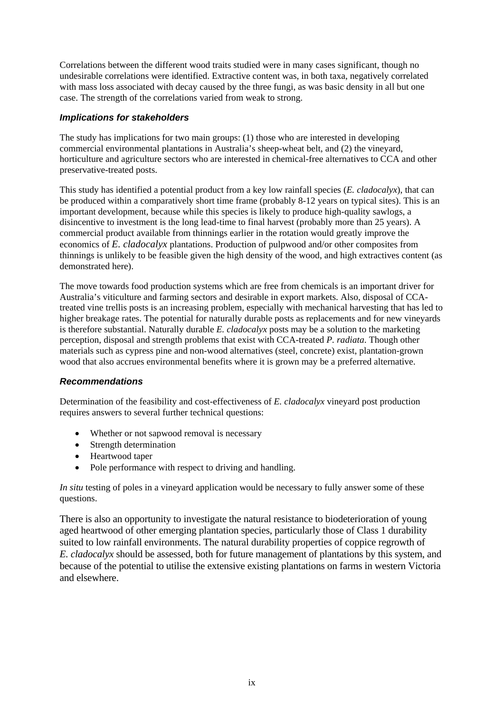Correlations between the different wood traits studied were in many cases significant, though no undesirable correlations were identified. Extractive content was, in both taxa, negatively correlated with mass loss associated with decay caused by the three fungi, as was basic density in all but one case. The strength of the correlations varied from weak to strong.

#### *Implications for stakeholders*

The study has implications for two main groups: (1) those who are interested in developing commercial environmental plantations in Australia's sheep-wheat belt, and (2) the vineyard, horticulture and agriculture sectors who are interested in chemical-free alternatives to CCA and other preservative-treated posts.

This study has identified a potential product from a key low rainfall species (*E. cladocalyx*), that can be produced within a comparatively short time frame (probably 8-12 years on typical sites). This is an important development, because while this species is likely to produce high-quality sawlogs, a disincentive to investment is the long lead-time to final harvest (probably more than 25 years). A commercial product available from thinnings earlier in the rotation would greatly improve the economics of *E. cladocalyx* plantations. Production of pulpwood and/or other composites from thinnings is unlikely to be feasible given the high density of the wood, and high extractives content (as demonstrated here).

The move towards food production systems which are free from chemicals is an important driver for Australia's viticulture and farming sectors and desirable in export markets. Also, disposal of CCAtreated vine trellis posts is an increasing problem, especially with mechanical harvesting that has led to higher breakage rates. The potential for naturally durable posts as replacements and for new vineyards is therefore substantial. Naturally durable *E. cladocalyx* posts may be a solution to the marketing perception, disposal and strength problems that exist with CCA-treated *P. radiata*. Though other materials such as cypress pine and non-wood alternatives (steel, concrete) exist, plantation-grown wood that also accrues environmental benefits where it is grown may be a preferred alternative.

#### *Recommendations*

Determination of the feasibility and cost-effectiveness of *E. cladocalyx* vineyard post production requires answers to several further technical questions:

- Whether or not sapwood removal is necessary
- Strength determination
- Heartwood taper
- Pole performance with respect to driving and handling.

*In situ* testing of poles in a vineyard application would be necessary to fully answer some of these questions.

There is also an opportunity to investigate the natural resistance to biodeterioration of young aged heartwood of other emerging plantation species, particularly those of Class 1 durability suited to low rainfall environments. The natural durability properties of coppice regrowth of *E. cladocalyx* should be assessed, both for future management of plantations by this system, and because of the potential to utilise the extensive existing plantations on farms in western Victoria and elsewhere.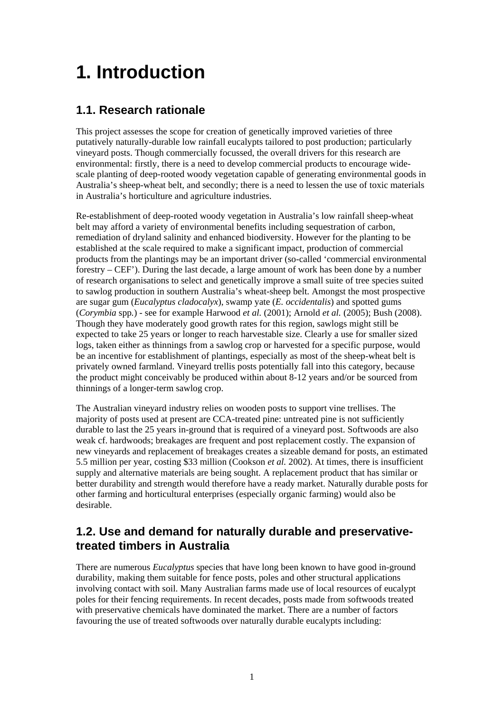## <span id="page-10-0"></span>**1. Introduction**

### **1.1. Research rationale**

This project assesses the scope for creation of genetically improved varieties of three putatively naturally-durable low rainfall eucalypts tailored to post production; particularly vineyard posts. Though commercially focussed, the overall drivers for this research are environmental: firstly, there is a need to develop commercial products to encourage widescale planting of deep-rooted woody vegetation capable of generating environmental goods in Australia's sheep-wheat belt, and secondly; there is a need to lessen the use of toxic materials in Australia's horticulture and agriculture industries.

Re-establishment of deep-rooted woody vegetation in Australia's low rainfall sheep-wheat belt may afford a variety of environmental benefits including sequestration of carbon, remediation of dryland salinity and enhanced biodiversity. However for the planting to be established at the scale required to make a significant impact, production of commercial products from the plantings may be an important driver (so-called 'commercial environmental forestry – CEF'). During the last decade, a large amount of work has been done by a number of research organisations to select and genetically improve a small suite of tree species suited to sawlog production in southern Australia's wheat-sheep belt. Amongst the most prospective are sugar gum (*Eucalyptus cladocalyx*), swamp yate (*E. occidentalis*) and spotted gums (*Corymbia* spp*.*) - see for example Harwood *et al.* (2001); Arnold *et al.* (2005); Bush (2008). Though they have moderately good growth rates for this region, sawlogs might still be expected to take 25 years or longer to reach harvestable size. Clearly a use for smaller sized logs, taken either as thinnings from a sawlog crop or harvested for a specific purpose, would be an incentive for establishment of plantings, especially as most of the sheep-wheat belt is privately owned farmland. Vineyard trellis posts potentially fall into this category, because the product might conceivably be produced within about 8-12 years and/or be sourced from thinnings of a longer-term sawlog crop.

The Australian vineyard industry relies on wooden posts to support vine trellises. The majority of posts used at present are CCA-treated pine: untreated pine is not sufficiently durable to last the 25 years in-ground that is required of a vineyard post. Softwoods are also weak cf. hardwoods; breakages are frequent and post replacement costly. The expansion of new vineyards and replacement of breakages creates a sizeable demand for posts, an estimated 5.5 million per year, costing \$33 million (Cookson *et al.* 2002). At times, there is insufficient supply and alternative materials are being sought. A replacement product that has similar or better durability and strength would therefore have a ready market. Naturally durable posts for other farming and horticultural enterprises (especially organic farming) would also be desirable.

### **1.2. Use and demand for naturally durable and preservativetreated timbers in Australia**

There are numerous *Eucalyptus* species that have long been known to have good in-ground durability, making them suitable for fence posts, poles and other structural applications involving contact with soil. Many Australian farms made use of local resources of eucalypt poles for their fencing requirements. In recent decades, posts made from softwoods treated with preservative chemicals have dominated the market. There are a number of factors favouring the use of treated softwoods over naturally durable eucalypts including: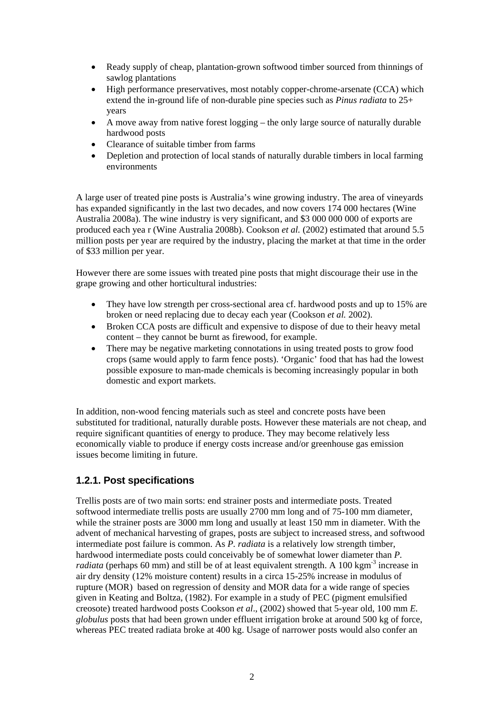- <span id="page-11-0"></span>• Ready supply of cheap, plantation-grown softwood timber sourced from thinnings of sawlog plantations
- High performance preservatives, most notably copper-chrome-arsenate (CCA) which extend the in-ground life of non-durable pine species such as *Pinus radiata* to 25+ years
- A move away from native forest logging the only large source of naturally durable hardwood posts
- Clearance of suitable timber from farms
- Depletion and protection of local stands of naturally durable timbers in local farming environments

A large user of treated pine posts is Australia's wine growing industry. The area of vineyards has expanded significantly in the last two decades, and now covers 174 000 hectares (Wine Australia 2008a). The wine industry is very significant, and \$3 000 000 000 of exports are produced each yea r (Wine Australia 2008b). Cookson *et al.* (2002) estimated that around 5.5 million posts per year are required by the industry, placing the market at that time in the order of \$33 million per year.

However there are some issues with treated pine posts that might discourage their use in the grape growing and other horticultural industries:

- They have low strength per cross-sectional area cf. hardwood posts and up to 15% are broken or need replacing due to decay each year (Cookson *et al.* 2002).
- Broken CCA posts are difficult and expensive to dispose of due to their heavy metal content – they cannot be burnt as firewood, for example.
- There may be negative marketing connotations in using treated posts to grow food crops (same would apply to farm fence posts). 'Organic' food that has had the lowest possible exposure to man-made chemicals is becoming increasingly popular in both domestic and export markets.

In addition, non-wood fencing materials such as steel and concrete posts have been substituted for traditional, naturally durable posts. However these materials are not cheap, and require significant quantities of energy to produce. They may become relatively less economically viable to produce if energy costs increase and/or greenhouse gas emission issues become limiting in future.

#### **1.2.1. Post specifications**

Trellis posts are of two main sorts: end strainer posts and intermediate posts. Treated softwood intermediate trellis posts are usually 2700 mm long and of 75-100 mm diameter, while the strainer posts are 3000 mm long and usually at least 150 mm in diameter. With the advent of mechanical harvesting of grapes, posts are subject to increased stress, and softwood intermediate post failure is common. As *P. radiata* is a relatively low strength timber, hardwood intermediate posts could conceivably be of somewhat lower diameter than *P. radiata* (perhaps 60 mm) and still be of at least equivalent strength. A 100 kgm<sup>-3</sup> increase in air dry density (12% moisture content) results in a circa 15-25% increase in modulus of rupture (MOR) based on regression of density and MOR data for a wide range of species given in Keating and Boltza, (1982). For example in a study of PEC (pigment emulsified creosote) treated hardwood posts Cookson *et al*., (2002) showed that 5-year old, 100 mm *E. globulus* posts that had been grown under effluent irrigation broke at around 500 kg of force, whereas PEC treated radiata broke at 400 kg. Usage of narrower posts would also confer an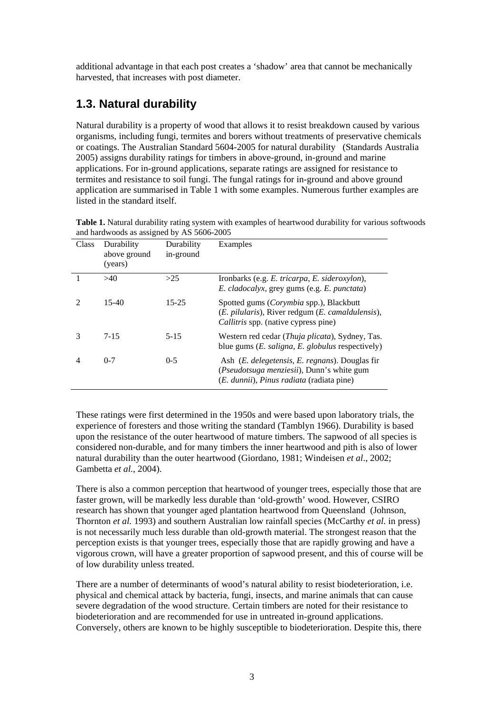<span id="page-12-0"></span>additional advantage in that each post creates a 'shadow' area that cannot be mechanically harvested, that increases with post diameter.

### **1.3. Natural durability**

Natural durability is a property of wood that allows it to resist breakdown caused by various organisms, including fungi, termites and borers without treatments of preservative chemicals or coatings. The Australian Standard 5604-2005 for natural durability (Standards Australia 2005) assigns durability ratings for timbers in above-ground, in-ground and marine applications. For in-ground applications, separate ratings are assigned for resistance to termites and resistance to soil fungi. The fungal ratings for in-ground and above ground application are summarised in Table 1 with some examples. Numerous further examples are listed in the standard itself.

| Class | Durability<br>above ground<br>(years) | Durability<br>in-ground | Examples                                                                                                                                                          |
|-------|---------------------------------------|-------------------------|-------------------------------------------------------------------------------------------------------------------------------------------------------------------|
|       | >40                                   | >25                     | Ironbarks (e.g. E. tricarpa, E. sideroxylon),<br><i>E. cladocalyx, grey gums (e.g. E. punctata)</i>                                                               |
|       | $15-40$                               | $15 - 25$               | Spotted gums (Corymbia spp.), Blackbutt<br>( <i>E. pilularis</i> ), River redgum ( <i>E. camaldulensis</i> ),<br>Callitris spp. (native cypress pine)             |
| 3     | $7 - 15$                              | $5 - 15$                | Western red cedar <i>(Thuja plicata)</i> , Sydney, Tas.<br>blue gums $(E. \, saligna, \, E. \, globulus$ respectively)                                            |
| 4     | $0 - 7$                               | $0 - 5$                 | Ash (E. delegetensis, E. regnans). Douglas fir<br>( <i>Pseudotsuga menziesii</i> ), Dunn's white gum<br>( <i>E. dunnii</i> ), <i>Pinus radiata</i> (radiata pine) |

**Table 1.** Natural durability rating system with examples of heartwood durability for various softwoods and hardwoods as assigned by AS 5606-2005

These ratings were first determined in the 1950s and were based upon laboratory trials, the experience of foresters and those writing the standard (Tamblyn 1966). Durability is based upon the resistance of the outer heartwood of mature timbers. The sapwood of all species is considered non-durable, and for many timbers the inner heartwood and pith is also of lower natural durability than the outer heartwood (Giordano, 1981; Windeisen *et al*., 2002; Gambetta *et al.*, 2004).

There is also a common perception that heartwood of younger trees, especially those that are faster grown, will be markedly less durable than 'old-growth' wood. However, CSIRO research has shown that younger aged plantation heartwood from Queensland (Johnson, Thornton *et al.* 1993) and southern Australian low rainfall species (McCarthy *et al.* in press) is not necessarily much less durable than old-growth material. The strongest reason that the perception exists is that younger trees, especially those that are rapidly growing and have a vigorous crown, will have a greater proportion of sapwood present, and this of course will be of low durability unless treated.

There are a number of determinants of wood's natural ability to resist biodeterioration, i.e. physical and chemical attack by bacteria, fungi, insects, and marine animals that can cause severe degradation of the wood structure. Certain timbers are noted for their resistance to biodeterioration and are recommended for use in untreated in-ground applications. Conversely, others are known to be highly susceptible to biodeterioration. Despite this, there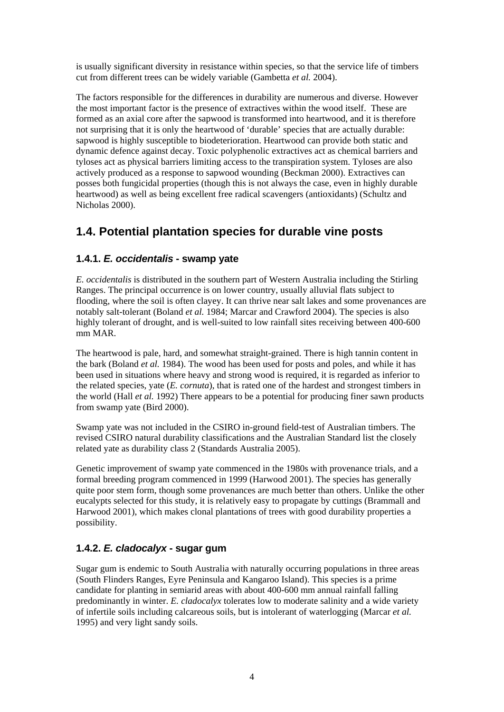<span id="page-13-0"></span>is usually significant diversity in resistance within species, so that the service life of timbers cut from different trees can be widely variable (Gambetta *et al.* 2004).

The factors responsible for the differences in durability are numerous and diverse. However the most important factor is the presence of extractives within the wood itself. These are formed as an axial core after the sapwood is transformed into heartwood, and it is therefore not surprising that it is only the heartwood of 'durable' species that are actually durable: sapwood is highly susceptible to biodeterioration. Heartwood can provide both static and dynamic defence against decay. Toxic polyphenolic extractives act as chemical barriers and tyloses act as physical barriers limiting access to the transpiration system. Tyloses are also actively produced as a response to sapwood wounding (Beckman 2000). Extractives can posses both fungicidal properties (though this is not always the case, even in highly durable heartwood) as well as being excellent free radical scavengers (antioxidants) (Schultz and Nicholas 2000).

### **1.4. Potential plantation species for durable vine posts**

#### **1.4.1.** *E. occidentalis* **- swamp yate**

*E. occidentalis* is distributed in the southern part of Western Australia including the Stirling Ranges. The principal occurrence is on lower country, usually alluvial flats subject to flooding, where the soil is often clayey. It can thrive near salt lakes and some provenances are notably salt-tolerant (Boland *et al.* 1984; Marcar and Crawford 2004). The species is also highly tolerant of drought, and is well-suited to low rainfall sites receiving between 400-600 mm MAR.

The heartwood is pale, hard, and somewhat straight-grained. There is high tannin content in the bark (Boland *et al.* 1984). The wood has been used for posts and poles, and while it has been used in situations where heavy and strong wood is required, it is regarded as inferior to the related species, yate (*E. cornuta*), that is rated one of the hardest and strongest timbers in the world (Hall *et al.* 1992) There appears to be a potential for producing finer sawn products from swamp yate (Bird 2000).

Swamp yate was not included in the CSIRO in-ground field-test of Australian timbers. The revised CSIRO natural durability classifications and the Australian Standard list the closely related yate as durability class 2 (Standards Australia 2005).

Genetic improvement of swamp yate commenced in the 1980s with provenance trials, and a formal breeding program commenced in 1999 (Harwood 2001). The species has generally quite poor stem form, though some provenances are much better than others. Unlike the other eucalypts selected for this study, it is relatively easy to propagate by cuttings (Brammall and Harwood 2001), which makes clonal plantations of trees with good durability properties a possibility.

#### **1.4.2.** *E. cladocalyx* **- sugar gum**

Sugar gum is endemic to South Australia with naturally occurring populations in three areas (South Flinders Ranges, Eyre Peninsula and Kangaroo Island). This species is a prime candidate for planting in semiarid areas with about 400-600 mm annual rainfall falling predominantly in winter. *E. cladocalyx* tolerates low to moderate salinity and a wide variety of infertile soils including calcareous soils, but is intolerant of waterlogging (Marcar *et al.* 1995) and very light sandy soils.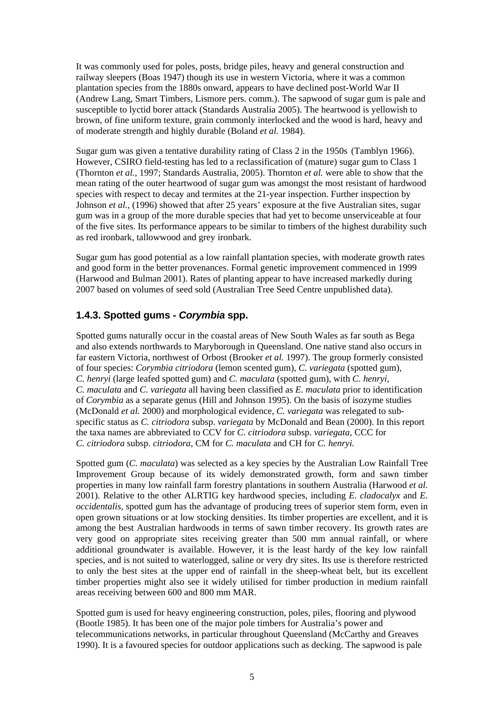<span id="page-14-0"></span>It was commonly used for poles, posts, bridge piles, heavy and general construction and railway sleepers (Boas 1947) though its use in western Victoria, where it was a common plantation species from the 1880s onward, appears to have declined post-World War II (Andrew Lang, Smart Timbers, Lismore pers. comm.). The sapwood of sugar gum is pale and susceptible to lyctid borer attack (Standards Australia 2005). The heartwood is yellowish to brown, of fine uniform texture, grain commonly interlocked and the wood is hard, heavy and of moderate strength and highly durable (Boland *et al.* 1984).

Sugar gum was given a tentative durability rating of Class 2 in the 1950s (Tamblyn 1966). However, CSIRO field-testing has led to a reclassification of (mature) sugar gum to Class 1 (Thornton *et al.*, 1997; Standards Australia, 2005). Thornton *et al.* were able to show that the mean rating of the outer heartwood of sugar gum was amongst the most resistant of hardwood species with respect to decay and termites at the 21-year inspection. Further inspection by Johnson *et al.*, (1996) showed that after 25 years' exposure at the five Australian sites, sugar gum was in a group of the more durable species that had yet to become unserviceable at four of the five sites. Its performance appears to be similar to timbers of the highest durability such as red ironbark, tallowwood and grey ironbark.

Sugar gum has good potential as a low rainfall plantation species, with moderate growth rates and good form in the better provenances. Formal genetic improvement commenced in 1999 (Harwood and Bulman 2001). Rates of planting appear to have increased markedly during 2007 based on volumes of seed sold (Australian Tree Seed Centre unpublished data).

#### **1.4.3. Spotted gums -** *Corymbia* **spp.**

Spotted gums naturally occur in the coastal areas of New South Wales as far south as Bega and also extends northwards to Maryborough in Queensland. One native stand also occurs in far eastern Victoria, northwest of Orbost (Brooker *et al.* 1997). The group formerly consisted of four species: *Corymbia citriodora* (lemon scented gum), *C. variegata* (spotted gum), *C. henryi* (large leafed spotted gum) and *C. maculata* (spotted gum), with *C. henryi*, *C. maculata* and *C. variegata* all having been classified as *E. maculata* prior to identification of *Corymbia* as a separate genus (Hill and Johnson 1995). On the basis of isozyme studies (McDonald *et al.* 2000) and morphological evidence, *C. variegata* was relegated to subspecific status as *C. citriodora* subsp. *variegata* by McDonald and Bean (2000). In this report the taxa names are abbreviated to CCV for *C. citriodora* subsp. *variegata,* CCC for *C. citriodora* subsp. *citriodora*, CM for *C. maculata* and CH for *C. henryi.* 

Spotted gum (*C. maculata*) was selected as a key species by the Australian Low Rainfall Tree Improvement Group because of its widely demonstrated growth, form and sawn timber properties in many low rainfall farm forestry plantations in southern Australia (Harwood *et al.* 2001). Relative to the other ALRTIG key hardwood species, including *E. cladocalyx* and *E. occidentalis*, spotted gum has the advantage of producing trees of superior stem form, even in open grown situations or at low stocking densities. Its timber properties are excellent, and it is among the best Australian hardwoods in terms of sawn timber recovery. Its growth rates are very good on appropriate sites receiving greater than 500 mm annual rainfall, or where additional groundwater is available. However, it is the least hardy of the key low rainfall species, and is not suited to waterlogged, saline or very dry sites. Its use is therefore restricted to only the best sites at the upper end of rainfall in the sheep-wheat belt, but its excellent timber properties might also see it widely utilised for timber production in medium rainfall areas receiving between 600 and 800 mm MAR.

Spotted gum is used for heavy engineering construction, poles, piles, flooring and plywood (Bootle 1985). It has been one of the major pole timbers for Australia's power and telecommunications networks, in particular throughout Queensland (McCarthy and Greaves 1990). It is a favoured species for outdoor applications such as decking. The sapwood is pale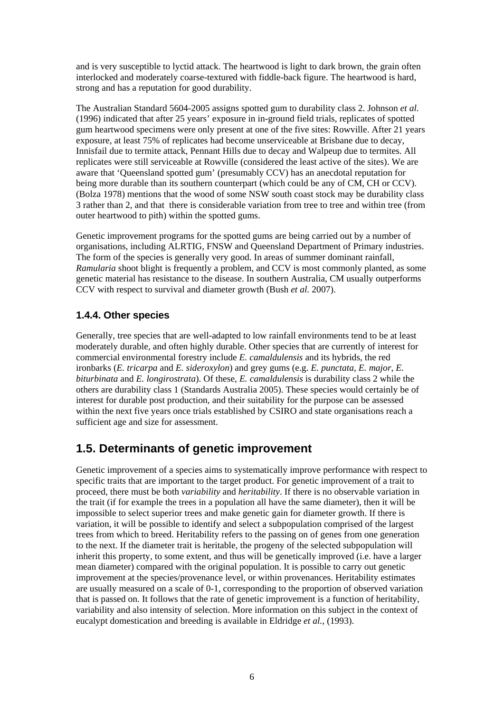<span id="page-15-0"></span>and is very susceptible to lyctid attack. The heartwood is light to dark brown, the grain often interlocked and moderately coarse-textured with fiddle-back figure. The heartwood is hard, strong and has a reputation for good durability.

The Australian Standard 5604-2005 assigns spotted gum to durability class 2. Johnson *et al.*  (1996) indicated that after 25 years' exposure in in-ground field trials, replicates of spotted gum heartwood specimens were only present at one of the five sites: Rowville. After 21 years exposure, at least 75% of replicates had become unserviceable at Brisbane due to decay, Innisfail due to termite attack, Pennant Hills due to decay and Walpeup due to termites. All replicates were still serviceable at Rowville (considered the least active of the sites). We are aware that 'Queensland spotted gum' (presumably CCV) has an anecdotal reputation for being more durable than its southern counterpart (which could be any of CM, CH or CCV). (Bolza 1978) mentions that the wood of some NSW south coast stock may be durability class 3 rather than 2, and that there is considerable variation from tree to tree and within tree (from outer heartwood to pith) within the spotted gums.

Genetic improvement programs for the spotted gums are being carried out by a number of organisations, including ALRTIG, FNSW and Queensland Department of Primary industries. The form of the species is generally very good. In areas of summer dominant rainfall, *Ramularia* shoot blight is frequently a problem, and CCV is most commonly planted, as some genetic material has resistance to the disease. In southern Australia, CM usually outperforms CCV with respect to survival and diameter growth (Bush *et al.* 2007).

#### **1.4.4. Other species**

Generally, tree species that are well-adapted to low rainfall environments tend to be at least moderately durable, and often highly durable. Other species that are currently of interest for commercial environmental forestry include *E. camaldulensis* and its hybrids, the red ironbarks (*E. tricarpa* and *E. sideroxylon*) and grey gums (e.g. *E. punctata*, *E. major*, *E. biturbinata* and *E. longirostrata*). Of these, *E. camaldulensis* is durability class 2 while the others are durability class 1 (Standards Australia 2005). These species would certainly be of interest for durable post production, and their suitability for the purpose can be assessed within the next five years once trials established by CSIRO and state organisations reach a sufficient age and size for assessment.

### **1.5. Determinants of genetic improvement**

Genetic improvement of a species aims to systematically improve performance with respect to specific traits that are important to the target product. For genetic improvement of a trait to proceed, there must be both *variability* and *heritability*. If there is no observable variation in the trait (if for example the trees in a population all have the same diameter), then it will be impossible to select superior trees and make genetic gain for diameter growth. If there is variation, it will be possible to identify and select a subpopulation comprised of the largest trees from which to breed. Heritability refers to the passing on of genes from one generation to the next. If the diameter trait is heritable, the progeny of the selected subpopulation will inherit this property, to some extent, and thus will be genetically improved (i.e. have a larger mean diameter) compared with the original population. It is possible to carry out genetic improvement at the species/provenance level, or within provenances. Heritability estimates are usually measured on a scale of 0-1, corresponding to the proportion of observed variation that is passed on. It follows that the rate of genetic improvement is a function of heritability, variability and also intensity of selection. More information on this subject in the context of eucalypt domestication and breeding is available in Eldridge *et al.*, (1993).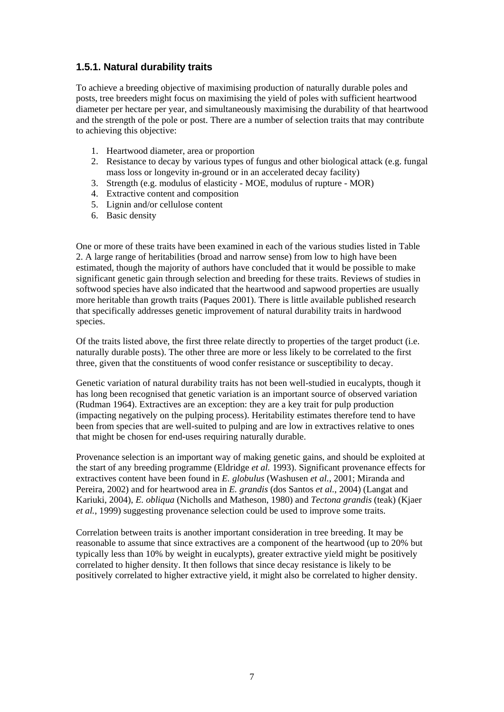#### <span id="page-16-0"></span>**1.5.1. Natural durability traits**

To achieve a breeding objective of maximising production of naturally durable poles and posts, tree breeders might focus on maximising the yield of poles with sufficient heartwood diameter per hectare per year, and simultaneously maximising the durability of that heartwood and the strength of the pole or post. There are a number of selection traits that may contribute to achieving this objective:

- 1. Heartwood diameter, area or proportion
- 2. Resistance to decay by various types of fungus and other biological attack (e.g. fungal mass loss or longevity in-ground or in an accelerated decay facility)
- 3. Strength (e.g. modulus of elasticity MOE, modulus of rupture MOR)
- 4. Extractive content and composition
- 5. Lignin and/or cellulose content
- 6. Basic density

One or more of these traits have been examined in each of the various studies listed in Table 2. A large range of heritabilities (broad and narrow sense) from low to high have been estimated, though the majority of authors have concluded that it would be possible to make significant genetic gain through selection and breeding for these traits. Reviews of studies in softwood species have also indicated that the heartwood and sapwood properties are usually more heritable than growth traits (Paques 2001). There is little available published research that specifically addresses genetic improvement of natural durability traits in hardwood species.

Of the traits listed above, the first three relate directly to properties of the target product (i.e. naturally durable posts). The other three are more or less likely to be correlated to the first three, given that the constituents of wood confer resistance or susceptibility to decay.

Genetic variation of natural durability traits has not been well-studied in eucalypts, though it has long been recognised that genetic variation is an important source of observed variation (Rudman 1964). Extractives are an exception: they are a key trait for pulp production (impacting negatively on the pulping process). Heritability estimates therefore tend to have been from species that are well-suited to pulping and are low in extractives relative to ones that might be chosen for end-uses requiring naturally durable.

Provenance selection is an important way of making genetic gains, and should be exploited at the start of any breeding programme (Eldridge *et al.* 1993). Significant provenance effects for extractives content have been found in *E. globulus* (Washusen *et al.*, 2001; Miranda and Pereira, 2002) and for heartwood area in *E. grandis* (dos Santos *et al.*, 2004) (Langat and Kariuki, 2004), *E. obliqua* (Nicholls and Matheson, 1980) and *Tectona grandis* (teak) (Kjaer *et al.*, 1999) suggesting provenance selection could be used to improve some traits.

Correlation between traits is another important consideration in tree breeding. It may be reasonable to assume that since extractives are a component of the heartwood (up to 20% but typically less than 10% by weight in eucalypts), greater extractive yield might be positively correlated to higher density. It then follows that since decay resistance is likely to be positively correlated to higher extractive yield, it might also be correlated to higher density.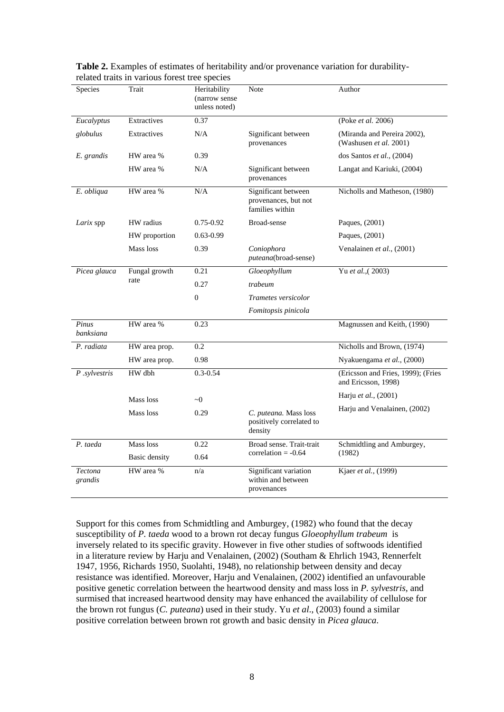| Species            | Trait         | Heritability<br>(narrow sense<br>unless noted) | Note                                                           | Author                                                    |
|--------------------|---------------|------------------------------------------------|----------------------------------------------------------------|-----------------------------------------------------------|
| Eucalyptus         | Extractives   | 0.37                                           |                                                                | (Poke et al. 2006)                                        |
| globulus           | Extractives   | N/A                                            | Significant between<br>provenances                             | (Miranda and Pereira 2002),<br>(Washusen et al. 2001)     |
| E. grandis         | HW area %     | 0.39                                           |                                                                | dos Santos et al., (2004)                                 |
|                    | HW area %     | N/A                                            | Significant between<br>provenances                             | Langat and Kariuki, (2004)                                |
| E. obliqua         | HW area %     | N/A                                            | Significant between<br>provenances, but not<br>families within | Nicholls and Matheson, (1980)                             |
| Larix spp          | HW radius     | $0.75 - 0.92$                                  | Broad-sense                                                    | Paques, (2001)                                            |
|                    | HW proportion | $0.63 - 0.99$                                  |                                                                | Paques, (2001)                                            |
|                    | Mass loss     | 0.39                                           | Coniophora<br>puteana(broad-sense)                             | Venalainen et al., (2001)                                 |
| Picea glauca       | Fungal growth | 0.21                                           | Gloeophyllum                                                   | Yu et al., (2003)                                         |
|                    | rate          | 0.27                                           | trabeum                                                        |                                                           |
|                    |               | $\boldsymbol{0}$                               | Trametes versicolor                                            |                                                           |
|                    |               |                                                | Fomitopsis pinicola                                            |                                                           |
| Pinus<br>banksiana | HW area %     | 0.23                                           |                                                                | Magnussen and Keith, (1990)                               |
| P. radiata         | HW area prop. | 0.2                                            |                                                                | Nicholls and Brown, (1974)                                |
|                    | HW area prop. | 0.98                                           |                                                                | Nyakuengama et al., (2000)                                |
| $P$ .sylvestris    | HW dbh        | $0.3 - 0.54$                                   |                                                                | (Ericsson and Fries, 1999); (Fries<br>and Ericsson, 1998) |
|                    | Mass loss     | $\sim 0$                                       |                                                                | Harju et al., (2001)                                      |
|                    | Mass loss     | 0.29                                           | C. puteana. Mass loss<br>positively correlated to<br>density   | Harju and Venalainen, (2002)                              |
| P. taeda           | Mass loss     | 0.22                                           | Broad sense. Trait-trait                                       | Schmidtling and Amburgey,                                 |
|                    | Basic density | 0.64                                           | correlation $= -0.64$                                          | (1982)                                                    |
| Tectona<br>grandis | HW area %     | n/a                                            | Significant variation<br>within and between<br>provenances     | Kjaer et al., (1999)                                      |

<span id="page-17-0"></span>**Table 2.** Examples of estimates of heritability and/or provenance variation for durabilityrelated traits in various forest tree species

Support for this comes from Schmidtling and Amburgey, (1982) who found that the decay susceptibility of *P. taeda* wood to a brown rot decay fungus *Gloeophyllum trabeum* is inversely related to its specific gravity. However in five other studies of softwoods identified in a literature review by Harju and Venalainen, (2002) (Southam & Ehrlich 1943, Rennerfelt 1947, 1956, Richards 1950, Suolahti, 1948), no relationship between density and decay resistance was identified. Moreover, Harju and Venalainen, (2002) identified an unfavourable positive genetic correlation between the heartwood density and mass loss in *P. sylvestris*, and surmised that increased heartwood density may have enhanced the availability of cellulose for the brown rot fungus (*C. puteana*) used in their study. Yu *et al*., (2003) found a similar positive correlation between brown rot growth and basic density in *Picea glauca*.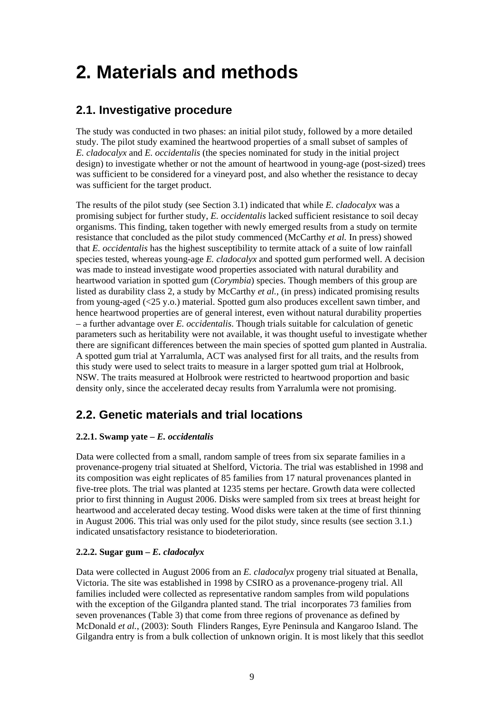## <span id="page-18-0"></span>**2. Materials and methods**

### **2.1. Investigative procedure**

The study was conducted in two phases: an initial pilot study, followed by a more detailed study. The pilot study examined the heartwood properties of a small subset of samples of *E. cladocalyx* and *E. occidentalis* (the species nominated for study in the initial project design) to investigate whether or not the amount of heartwood in young-age (post-sized) trees was sufficient to be considered for a vineyard post, and also whether the resistance to decay was sufficient for the target product.

The results of the pilot study (see Section 3.1) indicated that while *E. cladocalyx* was a promising subject for further study, *E. occidentalis* lacked sufficient resistance to soil decay organisms. This finding, taken together with newly emerged results from a study on termite resistance that concluded as the pilot study commenced (McCarthy *et al.* In press) showed that *E. occidentalis* has the highest susceptibility to termite attack of a suite of low rainfall species tested, whereas young-age *E. cladocalyx* and spotted gum performed well. A decision was made to instead investigate wood properties associated with natural durability and heartwood variation in spotted gum (*Corymbia*) species. Though members of this group are listed as durability class 2, a study by McCarthy *et al.*, (in press) indicated promising results from young-aged (<25 y.o.) material. Spotted gum also produces excellent sawn timber, and hence heartwood properties are of general interest, even without natural durability properties – a further advantage over *E. occidentalis*. Though trials suitable for calculation of genetic parameters such as heritability were not available, it was thought useful to investigate whether there are significant differences between the main species of spotted gum planted in Australia. A spotted gum trial at Yarralumla, ACT was analysed first for all traits, and the results from this study were used to select traits to measure in a larger spotted gum trial at Holbrook, NSW. The traits measured at Holbrook were restricted to heartwood proportion and basic density only, since the accelerated decay results from Yarralumla were not promising.

## **2.2. Genetic materials and trial locations**

#### **2.2.1. Swamp yate –** *E. occidentalis*

Data were collected from a small, random sample of trees from six separate families in a provenance-progeny trial situated at Shelford, Victoria. The trial was established in 1998 and its composition was eight replicates of 85 families from 17 natural provenances planted in five-tree plots. The trial was planted at 1235 stems per hectare. Growth data were collected prior to first thinning in August 2006. Disks were sampled from six trees at breast height for heartwood and accelerated decay testing. Wood disks were taken at the time of first thinning in August 2006. This trial was only used for the pilot study, since results (see section 3.1.) indicated unsatisfactory resistance to biodeterioration.

#### **2.2.2. Sugar gum –** *E. cladocalyx*

Data were collected in August 2006 from an *E. cladocalyx* progeny trial situated at Benalla, Victoria. The site was established in 1998 by CSIRO as a provenance-progeny trial. All families included were collected as representative random samples from wild populations with the exception of the Gilgandra planted stand. The trial incorporates 73 families from seven provenances (Table 3) that come from three regions of provenance as defined by McDonald *et al.*, (2003): South Flinders Ranges, Eyre Peninsula and Kangaroo Island. The Gilgandra entry is from a bulk collection of unknown origin. It is most likely that this seedlot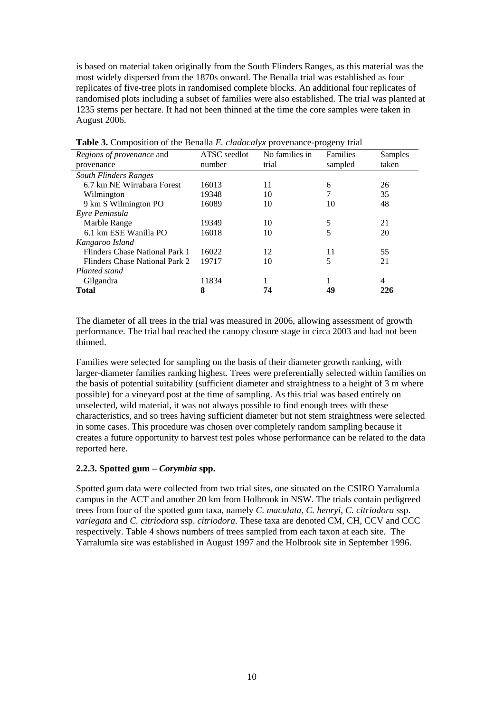<span id="page-19-0"></span>is based on material taken originally from the South Flinders Ranges, as this material was the most widely dispersed from the 1870s onward. The Benalla trial was established as four replicates of five-tree plots in randomised complete blocks. An additional four replicates of randomised plots including a subset of families were also established. The trial was planted at 1235 stems per hectare. It had not been thinned at the time the core samples were taken in August 2006.

| Regions of provenance and      | ATSC seedlot | No families in | Families | Samples |
|--------------------------------|--------------|----------------|----------|---------|
| provenance                     | number       | trial          | sampled  | taken   |
| <b>South Flinders Ranges</b>   |              |                |          |         |
| 6.7 km NE Wirrabara Forest     | 16013        | 11             | 6        | 26      |
| Wilmington                     | 19348        | 10             |          | 35      |
| 9 km S Wilmington PO           | 16089        | 10             | 10       | 48      |
| Eyre Peninsula                 |              |                |          |         |
| Marble Range                   | 19349        | 10             | 5        | 21      |
| 6.1 km ESE Wanilla PO          | 16018        | 10             |          | 20      |
| Kangaroo Island                |              |                |          |         |
| Flinders Chase National Park 1 | 16022        | 12             | 11       | 55      |
| Flinders Chase National Park 2 | 19717        | 10             | 5        | 21      |
| Planted stand                  |              |                |          |         |
| Gilgandra                      | 11834        |                |          | 4       |
| Total                          | 8            | 74             | 49       | 226     |

**Table 3.** Composition of the Benalla *E. cladocalyx* provenance-progeny trial

The diameter of all trees in the trial was measured in 2006, allowing assessment of growth performance. The trial had reached the canopy closure stage in circa 2003 and had not been thinned.

Families were selected for sampling on the basis of their diameter growth ranking, with larger-diameter families ranking highest. Trees were preferentially selected within families on the basis of potential suitability (sufficient diameter and straightness to a height of 3 m where possible) for a vineyard post at the time of sampling. As this trial was based entirely on unselected, wild material, it was not always possible to find enough trees with these characteristics, and so trees having sufficient diameter but not stem straightness were selected in some cases. This procedure was chosen over completely random sampling because it creates a future opportunity to harvest test poles whose performance can be related to the data reported here.

#### **2.2.3. Spotted gum –** *Corymbia* **spp.**

Spotted gum data were collected from two trial sites, one situated on the CSIRO Yarralumla campus in the ACT and another 20 km from Holbrook in NSW. The trials contain pedigreed trees from four of the spotted gum taxa, namely *C. maculata*, *C. henryi*, *C. citriodora* ssp. *variegata* and *C. citriodora* ssp. *citriodora*. These taxa are denoted CM, CH, CCV and CCC respectively. Table 4 shows numbers of trees sampled from each taxon at each site. The Yarralumla site was established in August 1997 and the Holbrook site in September 1996.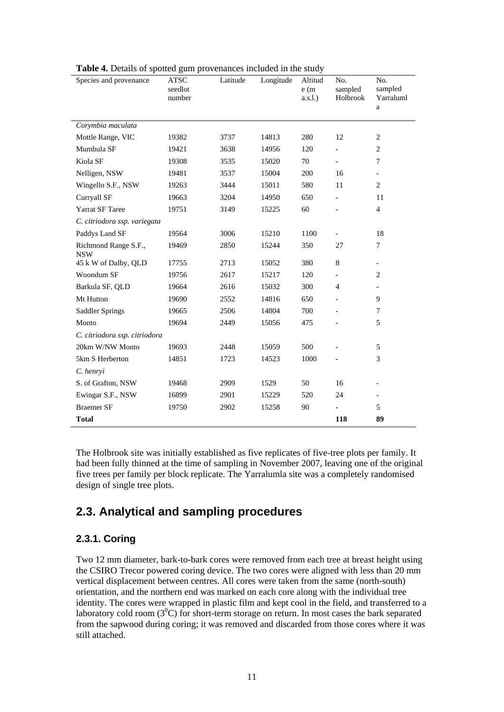| Species and provenance             | <b>ATSC</b><br>seedlot<br>number | Latitude | Longitude | Altitud<br>e(m)<br>$a.s.l.$ ) | No.<br>sampled<br>Holbrook | No.<br>sampled<br>Yarraluml<br>a |
|------------------------------------|----------------------------------|----------|-----------|-------------------------------|----------------------------|----------------------------------|
| Corymbia maculata                  |                                  |          |           |                               |                            |                                  |
| Mottle Range, VIC                  | 19382                            | 3737     | 14813     | 280                           | 12                         | $\overline{c}$                   |
| Mumbula SF                         | 19421                            | 3638     | 14956     | 120                           | $\overline{a}$             | $\overline{2}$                   |
| Kiola SF                           | 19308                            | 3535     | 15020     | 70                            | $\overline{a}$             | 7                                |
| Nelligen, NSW                      | 19481                            | 3537     | 15004     | 200                           | 16                         | $\overline{\phantom{0}}$         |
| Wingello S.F., NSW                 | 19263                            | 3444     | 15011     | 580                           | 11                         | $\overline{2}$                   |
| Curryall SF                        | 19663                            | 3204     | 14950     | 650                           | $\overline{a}$             | 11                               |
| Yarrat SF Taree                    | 19751                            | 3149     | 15225     | 60                            | $\overline{a}$             | $\overline{4}$                   |
| C. citriodora ssp. variegata       |                                  |          |           |                               |                            |                                  |
| Paddys Land SF                     | 19564                            | 3006     | 15210     | 1100                          |                            | 18                               |
| Richmond Range S.F.,<br><b>NSW</b> | 19469                            | 2850     | 15244     | 350                           | 27                         | 7                                |
| 45 k W of Dalby, QLD               | 17755                            | 2713     | 15052     | 380                           | 8                          | $\overline{\phantom{0}}$         |
| Woondum SF                         | 19756                            | 2617     | 15217     | 120                           | $\overline{a}$             | $\mathbf{2}$                     |
| Barkula SF, QLD                    | 19664                            | 2616     | 15032     | 300                           | 4                          |                                  |
| Mt Hutton                          | 19690                            | 2552     | 14816     | 650                           | $\overline{a}$             | 9                                |
| Saddler Springs                    | 19665                            | 2506     | 14804     | 700                           |                            | 7                                |
| Monto                              | 19694                            | 2449     | 15056     | 475                           |                            | 5                                |
| C. citriodora ssp. citriodora      |                                  |          |           |                               |                            |                                  |
| 20km W/NW Monto                    | 19693                            | 2448     | 15059     | 500                           |                            | 5                                |
| 5km S Herberton                    | 14851                            | 1723     | 14523     | 1000                          |                            | 3                                |
| C. henryi                          |                                  |          |           |                               |                            |                                  |
| S. of Grafton, NSW                 | 19468                            | 2909     | 1529      | 50                            | 16                         | $\overline{a}$                   |
| Ewingar S.F., NSW                  | 16899                            | 2901     | 15229     | 520                           | 24                         | $\overline{\phantom{0}}$         |
| <b>Braemer SF</b>                  | 19750                            | 2902     | 15258     | 90                            |                            | 5                                |
| <b>Total</b>                       |                                  |          |           |                               | 118                        | 89                               |

<span id="page-20-0"></span>**Table 4.** Details of spotted gum provenances included in the study

The Holbrook site was initially established as five replicates of five-tree plots per family. It had been fully thinned at the time of sampling in November 2007, leaving one of the original five trees per family per block replicate. The Yarralumla site was a completely randomised design of single tree plots.

### **2.3. Analytical and sampling procedures**

#### **2.3.1. Coring**

Two 12 mm diameter, bark-to-bark cores were removed from each tree at breast height using the CSIRO Trecor powered coring device. The two cores were aligned with less than 20 mm vertical displacement between centres. All cores were taken from the same (north-south) orientation, and the northern end was marked on each core along with the individual tree identity. The cores were wrapped in plastic film and kept cool in the field, and transferred to a laboratory cold room  $(3^0C)$  for short-term storage on return. In most cases the bark separated from the sapwood during coring; it was removed and discarded from those cores where it was still attached.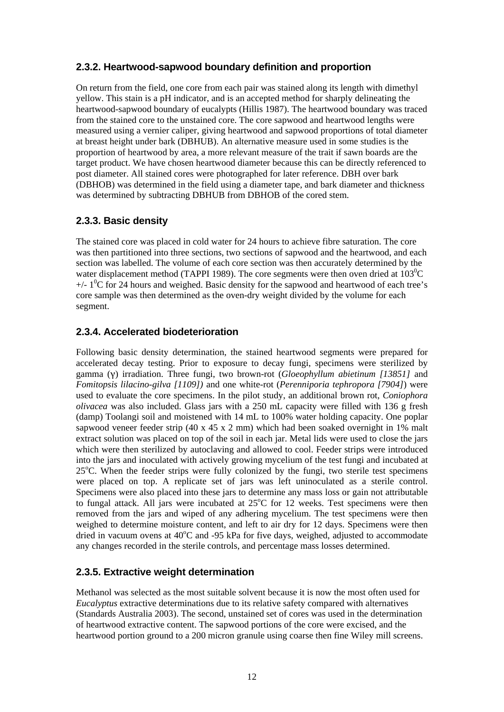#### <span id="page-21-0"></span>**2.3.2. Heartwood-sapwood boundary definition and proportion**

On return from the field, one core from each pair was stained along its length with dimethyl yellow. This stain is a pH indicator, and is an accepted method for sharply delineating the heartwood-sapwood boundary of eucalypts (Hillis 1987). The heartwood boundary was traced from the stained core to the unstained core. The core sapwood and heartwood lengths were measured using a vernier caliper, giving heartwood and sapwood proportions of total diameter at breast height under bark (DBHUB). An alternative measure used in some studies is the proportion of heartwood by area, a more relevant measure of the trait if sawn boards are the target product. We have chosen heartwood diameter because this can be directly referenced to post diameter. All stained cores were photographed for later reference. DBH over bark (DBHOB) was determined in the field using a diameter tape, and bark diameter and thickness was determined by subtracting DBHUB from DBHOB of the cored stem.

#### **2.3.3. Basic density**

The stained core was placed in cold water for 24 hours to achieve fibre saturation. The core was then partitioned into three sections, two sections of sapwood and the heartwood, and each section was labelled. The volume of each core section was then accurately determined by the water displacement method (TAPPI 1989). The core segments were then oven dried at  $103^{\circ}$ C  $+/- 1<sup>0</sup>C$  for 24 hours and weighed. Basic density for the sapwood and heartwood of each tree's core sample was then determined as the oven-dry weight divided by the volume for each segment.

#### **2.3.4. Accelerated biodeterioration**

Following basic density determination, the stained heartwood segments were prepared for accelerated decay testing. Prior to exposure to decay fungi, specimens were sterilized by gamma (γ) irradiation. Three fungi, two brown-rot (*Gloeophyllum abietinum [13851]* and *Fomitopsis lilacino-gilva [1109])* and one white-rot (*Perenniporia tephropora [7904]*) were used to evaluate the core specimens. In the pilot study, an additional brown rot, *Coniophora olivacea* was also included. Glass jars with a 250 mL capacity were filled with 136 g fresh (damp) Toolangi soil and moistened with 14 mL to 100% water holding capacity. One poplar sapwood veneer feeder strip (40 x 45 x 2 mm) which had been soaked overnight in 1% malt extract solution was placed on top of the soil in each jar. Metal lids were used to close the jars which were then sterilized by autoclaving and allowed to cool. Feeder strips were introduced into the jars and inoculated with actively growing mycelium of the test fungi and incubated at 25°C. When the feeder strips were fully colonized by the fungi, two sterile test specimens were placed on top. A replicate set of jars was left uninoculated as a sterile control. Specimens were also placed into these jars to determine any mass loss or gain not attributable to fungal attack. All jars were incubated at  $25^{\circ}$ C for 12 weeks. Test specimens were then removed from the jars and wiped of any adhering mycelium. The test specimens were then weighed to determine moisture content, and left to air dry for 12 days. Specimens were then dried in vacuum ovens at 40°C and -95 kPa for five days, weighed, adjusted to accommodate any changes recorded in the sterile controls, and percentage mass losses determined.

#### **2.3.5. Extractive weight determination**

Methanol was selected as the most suitable solvent because it is now the most often used for *Eucalyptus* extractive determinations due to its relative safety compared with alternatives (Standards Australia 2003). The second, unstained set of cores was used in the determination of heartwood extractive content. The sapwood portions of the core were excised, and the heartwood portion ground to a 200 micron granule using coarse then fine Wiley mill screens.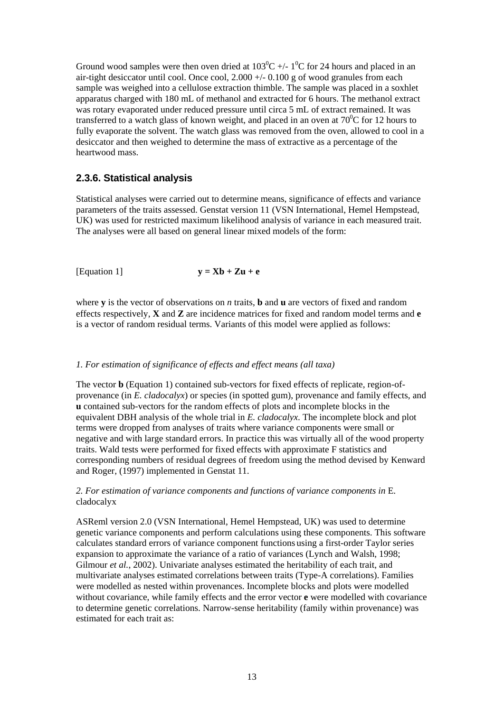<span id="page-22-0"></span>Ground wood samples were then oven dried at  $103^0C$  +/- 1<sup>0</sup>C for 24 hours and placed in an air-tight desiccator until cool. Once cool, 2.000 +/- 0.100 g of wood granules from each sample was weighed into a cellulose extraction thimble. The sample was placed in a soxhlet apparatus charged with 180 mL of methanol and extracted for 6 hours. The methanol extract was rotary evaporated under reduced pressure until circa 5 mL of extract remained. It was transferred to a watch glass of known weight, and placed in an oven at  $70^{\circ}$ C for 12 hours to fully evaporate the solvent. The watch glass was removed from the oven, allowed to cool in a desiccator and then weighed to determine the mass of extractive as a percentage of the heartwood mass.

#### **2.3.6. Statistical analysis**

Statistical analyses were carried out to determine means, significance of effects and variance parameters of the traits assessed. Genstat version 11 (VSN International, Hemel Hempstead, UK) was used for restricted maximum likelihood analysis of variance in each measured trait. The analyses were all based on general linear mixed models of the form:

[Equation 1]  $y = Xb + Zu + e$ 

where **y** is the vector of observations on *n* traits, **b** and **u** are vectors of fixed and random effects respectively, **X** and **Z** are incidence matrices for fixed and random model terms and **e**  is a vector of random residual terms. Variants of this model were applied as follows:

#### *1. For estimation of significance of effects and effect means (all taxa)*

The vector **b** (Equation 1) contained sub-vectors for fixed effects of replicate, region-ofprovenance (in *E. cladocalyx*) or species (in spotted gum), provenance and family effects, and **u** contained sub-vectors for the random effects of plots and incomplete blocks in the equivalent DBH analysis of the whole trial in *E. cladocalyx*. The incomplete block and plot terms were dropped from analyses of traits where variance components were small or negative and with large standard errors. In practice this was virtually all of the wood property traits. Wald tests were performed for fixed effects with approximate F statistics and corresponding numbers of residual degrees of freedom using the method devised by Kenward and Roger, (1997) implemented in Genstat 11.

#### *2. For estimation of variance components and functions of variance components in* E. cladocalyx

ASReml version 2.0 (VSN International, Hemel Hempstead, UK) was used to determine genetic variance components and perform calculations using these components. This software calculates standard errors of variance component functions using a first-order Taylor series expansion to approximate the variance of a ratio of variances (Lynch and Walsh, 1998; Gilmour *et al.*, 2002). Univariate analyses estimated the heritability of each trait, and multivariate analyses estimated correlations between traits (Type-A correlations). Families were modelled as nested within provenances. Incomplete blocks and plots were modelled without covariance, while family effects and the error vector **e** were modelled with covariance to determine genetic correlations. Narrow-sense heritability (family within provenance) was estimated for each trait as: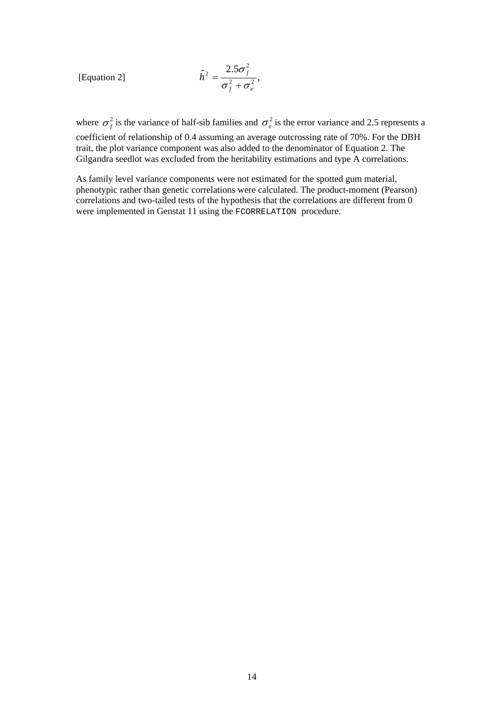[Equation 2]  

$$
\hat{h}^2 = \frac{2.5\sigma_f^2}{\sigma_f^2 + \sigma_e^2},
$$

where  $\sigma_f^2$  is the variance of half-sib families and  $\sigma_e^2$  is the error variance and 2.5 represents a coefficient of relationship of 0.4 assuming an average outcrossing rate of 70%. For the DBH

trait, the plot variance component was also added to the denominator of Equation 2. The Gilgandra seedlot was excluded from the heritability estimations and type A correlations.

As family level variance components were not estimated for the spotted gum material, phenotypic rather than genetic correlations were calculated. The product-moment (Pearson) correlations and two-tailed tests of the hypothesis that the correlations are different from 0 were implemented in Genstat 11 using the FCORRELATION procedure.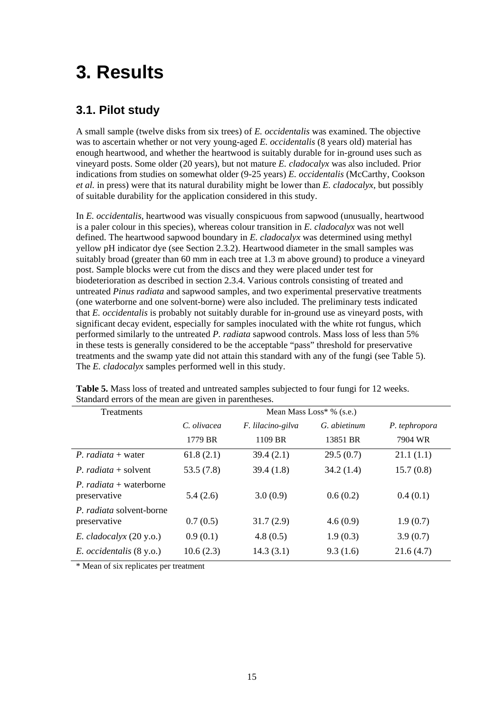## <span id="page-24-0"></span>**3. Results**

### **3.1. Pilot study**

A small sample (twelve disks from six trees) of *E. occidentalis* was examined. The objective was to ascertain whether or not very young-aged *E. occidentalis* (8 years old) material has enough heartwood, and whether the heartwood is suitably durable for in-ground uses such as vineyard posts. Some older (20 years), but not mature *E. cladocalyx* was also included. Prior indications from studies on somewhat older (9-25 years) *E. occidentalis* (McCarthy, Cookson *et al.* in press) were that its natural durability might be lower than *E. cladocalyx*, but possibly of suitable durability for the application considered in this study.

In *E. occidentalis*, heartwood was visually conspicuous from sapwood (unusually, heartwood is a paler colour in this species), whereas colour transition in *E. cladocalyx* was not well defined. The heartwood sapwood boundary in *E. cladocalyx* was determined using methyl yellow pH indicator dye (see Section 2.3.2). Heartwood diameter in the small samples was suitably broad (greater than 60 mm in each tree at 1.3 m above ground) to produce a vineyard post. Sample blocks were cut from the discs and they were placed under test for biodeterioration as described in section 2.3.4. Various controls consisting of treated and untreated *Pinus radiata* and sapwood samples, and two experimental preservative treatments (one waterborne and one solvent-borne) were also included. The preliminary tests indicated that *E. occidentalis* is probably not suitably durable for in-ground use as vineyard posts, with significant decay evident, especially for samples inoculated with the white rot fungus, which performed similarly to the untreated *P. radiata* sapwood controls. Mass loss of less than 5% in these tests is generally considered to be the acceptable "pass" threshold for preservative treatments and the swamp yate did not attain this standard with any of the fungi (see Table 5). The *E. cladocalyx* samples performed well in this study.

| <b>Treatments</b>                               |             |                   | Mean Mass $Loss* %$ (s.e.) |               |  |  |  |  |
|-------------------------------------------------|-------------|-------------------|----------------------------|---------------|--|--|--|--|
|                                                 | C. olivacea | F. lilacino-gilva | G. abietinum               | P. tephropora |  |  |  |  |
|                                                 | 1779 BR     | 1109 BR           | 13851 BR                   | 7904 WR       |  |  |  |  |
| <i>P. radiata</i> + water                       | 61.8(2.1)   | 39.4(2.1)         | 29.5(0.7)                  | 21.1(1.1)     |  |  |  |  |
| <i>P. radiata</i> + solvent                     | 53.5(7.8)   | 39.4(1.8)         | 34.2(1.4)                  | 15.7(0.8)     |  |  |  |  |
| <i>P. radiata</i> + waterborne<br>preservative  | 5.4(2.6)    | 3.0(0.9)          | 0.6(0.2)                   | 0.4(0.1)      |  |  |  |  |
| <i>P. radiata</i> solvent-borne<br>preservative | 0.7(0.5)    | 31.7(2.9)         | 4.6(0.9)                   | 1.9(0.7)      |  |  |  |  |
| $E.$ <i>cladocalyx</i> $(20 y.o.)$              | 0.9(0.1)    | 4.8(0.5)          | 1.9(0.3)                   | 3.9(0.7)      |  |  |  |  |
| E. occidentalis (8 y.o.)                        | 10.6(2.3)   | 14.3(3.1)         | 9.3(1.6)                   | 21.6(4.7)     |  |  |  |  |

**Table 5.** Mass loss of treated and untreated samples subjected to four fungi for 12 weeks. Standard errors of the mean are given in parentheses.

\* Mean of six replicates per treatment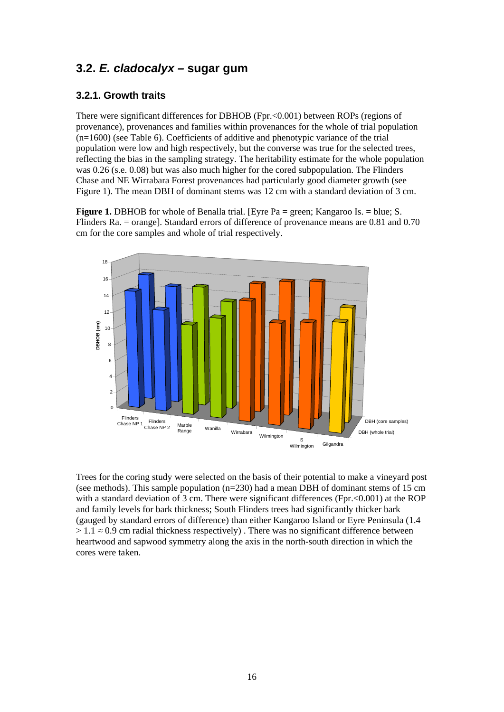### <span id="page-25-0"></span>**3.2.** *E. cladocalyx –* **sugar gum**

#### **3.2.1. Growth traits**

There were significant differences for DBHOB (Fpr.<0.001) between ROPs (regions of provenance), provenances and families within provenances for the whole of trial population (n=1600) (see Table 6). Coefficients of additive and phenotypic variance of the trial population were low and high respectively, but the converse was true for the selected trees, reflecting the bias in the sampling strategy. The heritability estimate for the whole population was 0.26 (s.e. 0.08) but was also much higher for the cored subpopulation. The Flinders Chase and NE Wirrabara Forest provenances had particularly good diameter growth (see Figure 1). The mean DBH of dominant stems was 12 cm with a standard deviation of 3 cm.

**Figure 1.** DBHOB for whole of Benalla trial. [Eyre Pa = green: Kangaroo Is. = blue: S. Flinders Ra. = orange]. Standard errors of difference of provenance means are 0.81 and 0.70 cm for the core samples and whole of trial respectively.



Trees for the coring study were selected on the basis of their potential to make a vineyard post (see methods). This sample population  $(n=230)$  had a mean DBH of dominant stems of 15 cm with a standard deviation of 3 cm. There were significant differences (Fpr.  $\leq 0.001$ ) at the ROP and family levels for bark thickness; South Flinders trees had significantly thicker bark (gauged by standard errors of difference) than either Kangaroo Island or Eyre Peninsula (1.4  $> 1.1 \approx 0.9$  cm radial thickness respectively). There was no significant difference between heartwood and sapwood symmetry along the axis in the north-south direction in which the cores were taken.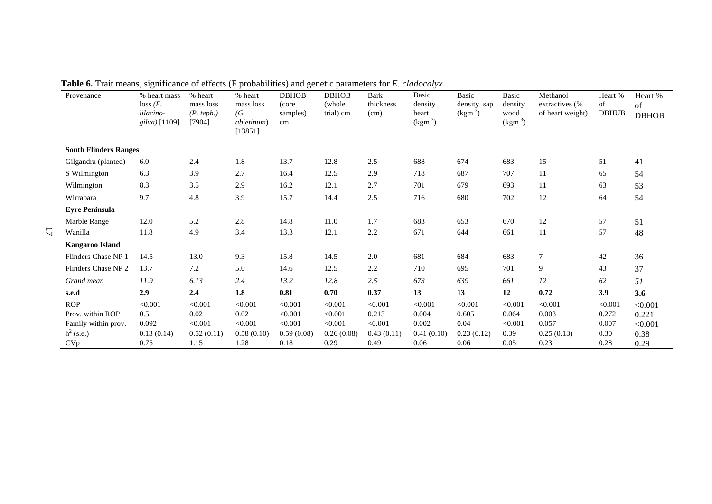<span id="page-26-0"></span>

| Provenance                   | % heart mass<br>loss (F.<br>lilacino-<br>gilva) [1109] | % heart<br>mass loss<br>(P. teph.)<br>[7904] | % heart<br>mass loss<br>(G.<br><i>abietinum</i> )<br>[13851] | <b>DBHOB</b><br>(core<br>samples)<br>cm | <b>DBHOB</b><br>(whole)<br>trial) cm | <b>Bark</b><br>thickness<br>(cm) | Basic<br>density<br>heart<br>$\text{(kgm}^3)$ | Basic<br>density sap<br>$(kgm-3)$ | Basic<br>density<br>wood<br>$\text{(kgm}^3)$ | Methanol<br>extractives (%<br>of heart weight) | Heart %<br>of<br><b>DBHUB</b> | Heart %<br>of<br><b>DBHOB</b> |
|------------------------------|--------------------------------------------------------|----------------------------------------------|--------------------------------------------------------------|-----------------------------------------|--------------------------------------|----------------------------------|-----------------------------------------------|-----------------------------------|----------------------------------------------|------------------------------------------------|-------------------------------|-------------------------------|
| <b>South Flinders Ranges</b> |                                                        |                                              |                                                              |                                         |                                      |                                  |                                               |                                   |                                              |                                                |                               |                               |
| Gilgandra (planted)          | 6.0                                                    | 2.4                                          | 1.8                                                          | 13.7                                    | 12.8                                 | 2.5                              | 688                                           | 674                               | 683                                          | 15                                             | 51                            | 41                            |
| S Wilmington                 | 6.3                                                    | 3.9                                          | 2.7                                                          | 16.4                                    | 12.5                                 | 2.9                              | 718                                           | 687                               | 707                                          | 11                                             | 65                            | 54                            |
| Wilmington                   | 8.3                                                    | 3.5                                          | 2.9                                                          | 16.2                                    | 12.1                                 | 2.7                              | 701                                           | 679                               | 693                                          | 11                                             | 63                            | 53                            |
| Wirrabara                    | 9.7                                                    | 4.8                                          | 3.9                                                          | 15.7                                    | 14.4                                 | $2.5\,$                          | 716                                           | 680                               | 702                                          | $12\,$                                         | 64                            | 54                            |
| <b>Eyre Peninsula</b>        |                                                        |                                              |                                                              |                                         |                                      |                                  |                                               |                                   |                                              |                                                |                               |                               |
| Marble Range                 | 12.0                                                   | 5.2                                          | 2.8                                                          | 14.8                                    | 11.0                                 | 1.7                              | 683                                           | 653                               | 670                                          | 12                                             | 57                            | 51                            |
| Wanilla                      | 11.8                                                   | 4.9                                          | 3.4                                                          | 13.3                                    | 12.1                                 | 2.2                              | 671                                           | 644                               | 661                                          | 11                                             | 57                            | 48                            |
| <b>Kangaroo Island</b>       |                                                        |                                              |                                                              |                                         |                                      |                                  |                                               |                                   |                                              |                                                |                               |                               |
| Flinders Chase NP 1          | 14.5                                                   | 13.0                                         | 9.3                                                          | 15.8                                    | 14.5                                 | $2.0\,$                          | 681                                           | 684                               | 683                                          | $\overline{7}$                                 | $42\,$                        | 36                            |
| Flinders Chase NP 2          | 13.7                                                   | 7.2                                          | 5.0                                                          | 14.6                                    | 12.5                                 | 2.2                              | 710                                           | 695                               | 701                                          | 9                                              | 43                            | 37                            |
| Grand mean                   | 11.9                                                   | 6.13                                         | 2.4                                                          | 13.2                                    | 12.8                                 | 2.5                              | 673                                           | 639                               | 661                                          | 12                                             | 62                            | 51                            |
| s.e.d                        | 2.9                                                    | 2.4                                          | 1.8                                                          | 0.81                                    | 0.70                                 | 0.37                             | 13                                            | 13                                | 12                                           | 0.72                                           | 3.9                           | 3.6                           |
| <b>ROP</b>                   | < 0.001                                                | < 0.001                                      | < 0.001                                                      | < 0.001                                 | < 0.001                              | < 0.001                          | < 0.001                                       | < 0.001                           | < 0.001                                      | < 0.001                                        | < 0.001                       | < 0.001                       |
| Prov. within ROP             | 0.5                                                    | 0.02                                         | 0.02                                                         | < 0.001                                 | < 0.001                              | 0.213                            | 0.004                                         | 0.605                             | 0.064                                        | 0.003                                          | 0.272                         | 0.221                         |
| Family within prov.          | 0.092                                                  | < 0.001                                      | < 0.001                                                      | < 0.001                                 | < 0.001                              | < 0.001                          | 0.002                                         | 0.04                              | < 0.001                                      | 0.057                                          | 0.007                         | < 0.001                       |
| $h^2$ (s.e.)                 | 0.13(0.14)                                             | 0.52(0.11)                                   | 0.58(0.10)                                                   | 0.59(0.08)                              | 0.26(0.08)                           | 0.43(0.11)                       | 0.41(0.10)                                    | 0.23(0.12)                        | 0.39                                         | 0.25(0.13)                                     | 0.30                          | 0.38                          |
| CVp                          | 0.75                                                   | 1.15                                         | 1.28                                                         | 0.18                                    | 0.29                                 | 0.49                             | 0.06                                          | 0.06                              | 0.05                                         | 0.23                                           | 0.28                          | 0.29                          |

**Table 6.** Trait means, significance of effects (F probabilities) and genetic parameters for *E. cladocalyx*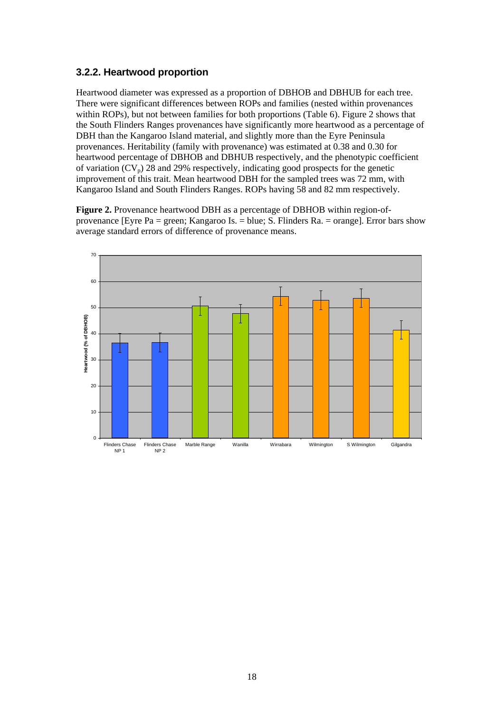#### <span id="page-27-0"></span>**3.2.2. Heartwood proportion**

Heartwood diameter was expressed as a proportion of DBHOB and DBHUB for each tree. There were significant differences between ROPs and families (nested within provenances within ROPs), but not between families for both proportions (Table 6). Figure 2 shows that the South Flinders Ranges provenances have significantly more heartwood as a percentage of DBH than the Kangaroo Island material, and slightly more than the Eyre Peninsula provenances. Heritability (family with provenance) was estimated at 0.38 and 0.30 for heartwood percentage of DBHOB and DBHUB respectively, and the phenotypic coefficient of variation  $(CV_p)$  28 and 29% respectively, indicating good prospects for the genetic improvement of this trait. Mean heartwood DBH for the sampled trees was 72 mm, with Kangaroo Island and South Flinders Ranges. ROPs having 58 and 82 mm respectively.

**Figure 2.** Provenance heartwood DBH as a percentage of DBHOB within region-ofprovenance [Eyre Pa = green; Kangaroo Is. = blue; S. Flinders Ra. = orange]. Error bars show average standard errors of difference of provenance means.

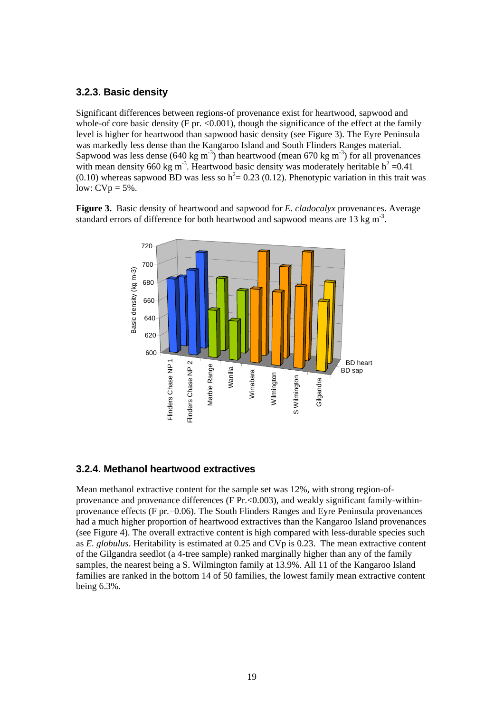#### <span id="page-28-0"></span>**3.2.3. Basic density**

Significant differences between regions-of provenance exist for heartwood, sapwood and whole-of core basic density (F pr.  $\langle 0.001 \rangle$ , though the significance of the effect at the family level is higher for heartwood than sapwood basic density (see Figure 3). The Eyre Peninsula was markedly less dense than the Kangaroo Island and South Flinders Ranges material. Sapwood was less dense (640 kg m<sup>-3</sup>) than heartwood (mean 670 kg m<sup>-3</sup>) for all provenances with mean density 660 kg m<sup>-3</sup>. Heartwood basic density was moderately heritable  $h^2 = 0.41$ (0.10) whereas sapwood BD was less so  $h^2 = 0.23$  (0.12). Phenotypic variation in this trait was low:  $CVp = 5\%$ .

**Figure 3.** Basic density of heartwood and sapwood for *E. cladocalyx* provenances. Average standard errors of difference for both heartwood and sapwood means are 13 kg  $m<sup>3</sup>$ .



#### **3.2.4. Methanol heartwood extractives**

Mean methanol extractive content for the sample set was 12%, with strong region-ofprovenance and provenance differences (F  $Pr$ , <0.003), and weakly significant family-withinprovenance effects (F pr.=0.06). The South Flinders Ranges and Eyre Peninsula provenances had a much higher proportion of heartwood extractives than the Kangaroo Island provenances (see Figure 4). The overall extractive content is high compared with less-durable species such as *E. globulus*. Heritability is estimated at 0.25 and CVp is 0.23. The mean extractive content of the Gilgandra seedlot (a 4-tree sample) ranked marginally higher than any of the family samples, the nearest being a S. Wilmington family at 13.9%. All 11 of the Kangaroo Island families are ranked in the bottom 14 of 50 families, the lowest family mean extractive content being 6.3%.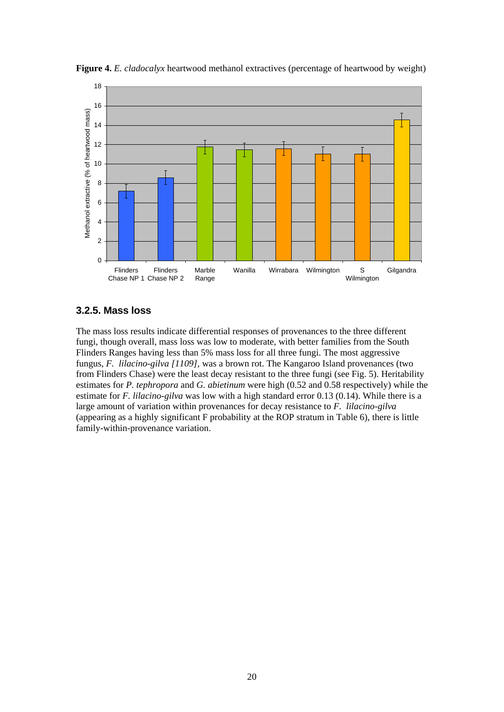

<span id="page-29-0"></span>**Figure 4.** *E. cladocalyx* heartwood methanol extractives (percentage of heartwood by weight)

#### **3.2.5. Mass loss**

The mass loss results indicate differential responses of provenances to the three different fungi, though overall, mass loss was low to moderate, with better families from the South Flinders Ranges having less than 5% mass loss for all three fungi. The most aggressive fungus, *F. lilacino-gilva [1109],* was a brown rot. The Kangaroo Island provenances (two from Flinders Chase) were the least decay resistant to the three fungi (see Fig. 5). Heritability estimates for *P. tephropora* and *G. abietinum* were high (0.52 and 0.58 respectively) while the estimate for *F. lilacino-gilva* was low with a high standard error 0.13 (0.14). While there is a large amount of variation within provenances for decay resistance to *F. lilacino-gilva* (appearing as a highly significant F probability at the ROP stratum in Table 6), there is little family-within-provenance variation.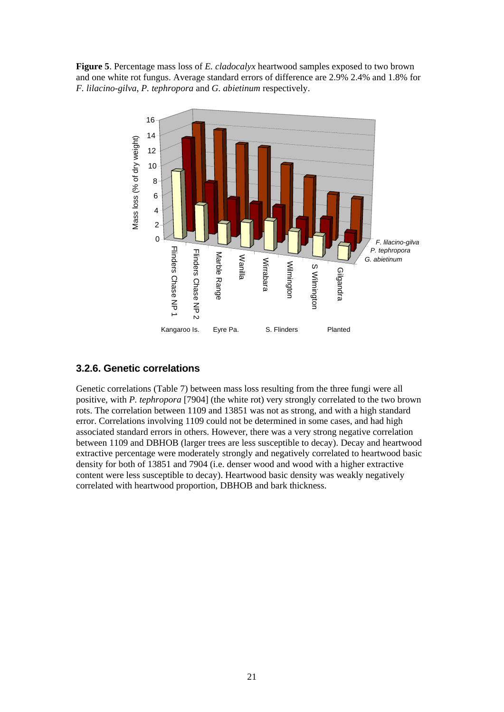<span id="page-30-0"></span>**Figure 5**. Percentage mass loss of *E. cladocalyx* heartwood samples exposed to two brown and one white rot fungus. Average standard errors of difference are 2.9% 2.4% and 1.8% for *F. lilacino-gilva*, *P. tephropora* and *G. abietinum* respectively.



#### **3.2.6. Genetic correlations**

Genetic correlations (Table 7) between mass loss resulting from the three fungi were all positive, with *P. tephropora* [7904] (the white rot) very strongly correlated to the two brown rots. The correlation between 1109 and 13851 was not as strong, and with a high standard error. Correlations involving 1109 could not be determined in some cases, and had high associated standard errors in others. However, there was a very strong negative correlation between 1109 and DBHOB (larger trees are less susceptible to decay). Decay and heartwood extractive percentage were moderately strongly and negatively correlated to heartwood basic density for both of 13851 and 7904 (i.e. denser wood and wood with a higher extractive content were less susceptible to decay). Heartwood basic density was weakly negatively correlated with heartwood proportion, DBHOB and bark thickness.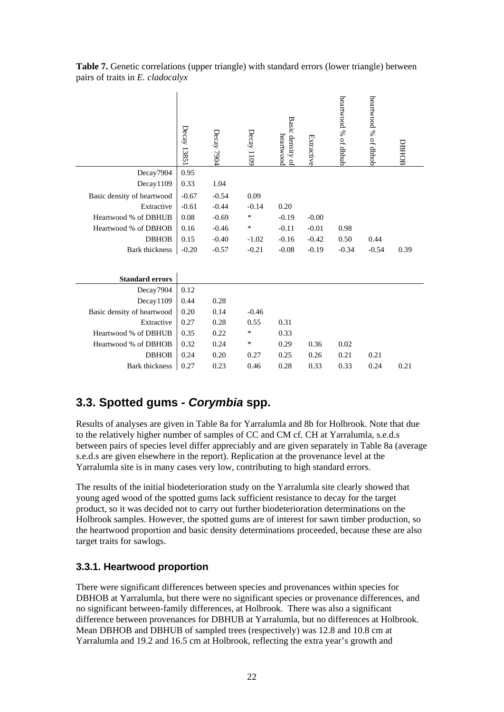|                            | Decay 1385: | Decay 7904 | Decay 1109 | Basic density of<br>heartwood | Extractive | heartwood % of dbhub | heartwood % of dbhob | DBHOB |
|----------------------------|-------------|------------|------------|-------------------------------|------------|----------------------|----------------------|-------|
| Decay7904                  | 0.95        |            |            |                               |            |                      |                      |       |
| Decay1109                  | 0.33        | 1.04       |            |                               |            |                      |                      |       |
| Basic density of heartwood | $-0.67$     | $-0.54$    | 0.09       |                               |            |                      |                      |       |
| Extractive                 | $-0.61$     | $-0.44$    | $-0.14$    | 0.20                          |            |                      |                      |       |
| Heartwood % of DBHUB       | 0.08        | $-0.69$    | $\ast$     | $-0.19$                       | $-0.00$    |                      |                      |       |
| Heartwood % of DBHOB       | 0.16        | $-0.46$    | $\ast$     | $-0.11$                       | $-0.01$    | 0.98                 |                      |       |
| <b>DBHOB</b>               | 0.15        | $-0.40$    | $-1.02$    | $-0.16$                       | $-0.42$    | 0.50                 | 0.44                 |       |
| Bark thickness             | $-0.20$     | $-0.57$    | $-0.21$    | $-0.08$                       | $-0.19$    | $-0.34$              | $-0.54$              | 0.39  |
| <b>Standard errors</b>     |             |            |            |                               |            |                      |                      |       |
| Decay7904                  | 0.12        |            |            |                               |            |                      |                      |       |
| Decay1109                  | 0.44        | 0.28       |            |                               |            |                      |                      |       |
| Basic density of heartwood | 0.20        | 0.14       | $-0.46$    |                               |            |                      |                      |       |
| Extractive                 | 0.27        | 0.28       | 0.55       | 0.31                          |            |                      |                      |       |
| Heartwood % of DBHUB       | 0.35        | 0.22       | ∗          | 0.33                          |            |                      |                      |       |
| Heartwood % of DBHOB       | 0.32        | 0.24       | $\ast$     | 0.29                          | 0.36       | 0.02                 |                      |       |
| <b>DBHOB</b>               | 0.24        | 0.20       | 0.27       | 0.25                          | 0.26       | 0.21                 | 0.21                 |       |
| Bark thickness             | 0.27        | 0.23       | 0.46       | 0.28                          | 0.33       | 0.33                 | 0.24                 | 0.21  |
|                            |             |            |            |                               |            |                      |                      |       |

<span id="page-31-0"></span>**Table 7.** Genetic correlations (upper triangle) with standard errors (lower triangle) between pairs of traits in *E. cladocalyx*

## **3.3. Spotted gums** *- Corymbia* **spp.**

 $\mathbf{I}$ 

Results of analyses are given in Table 8a for Yarralumla and 8b for Holbrook. Note that due to the relatively higher number of samples of CC and CM cf. CH at Yarralumla, s.e.d.s between pairs of species level differ appreciably and are given separately in Table 8a (average s.e.d.s are given elsewhere in the report). Replication at the provenance level at the Yarralumla site is in many cases very low, contributing to high standard errors.

The results of the initial biodeterioration study on the Yarralumla site clearly showed that young aged wood of the spotted gums lack sufficient resistance to decay for the target product, so it was decided not to carry out further biodeterioration determinations on the Holbrook samples. However, the spotted gums are of interest for sawn timber production, so the heartwood proportion and basic density determinations proceeded, because these are also target traits for sawlogs.

#### **3.3.1. Heartwood proportion**

There were significant differences between species and provenances within species for DBHOB at Yarralumla, but there were no significant species or provenance differences, and no significant between-family differences, at Holbrook. There was also a significant difference between provenances for DBHUB at Yarralumla, but no differences at Holbrook. Mean DBHOB and DBHUB of sampled trees (respectively) was 12.8 and 10.8 cm at Yarralumla and 19.2 and 16.5 cm at Holbrook, reflecting the extra year's growth and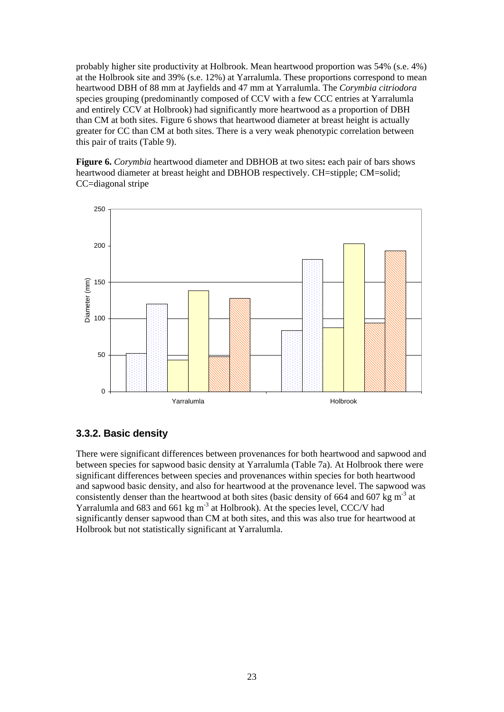<span id="page-32-0"></span>probably higher site productivity at Holbrook. Mean heartwood proportion was 54% (s.e. 4%) at the Holbrook site and 39% (s.e. 12%) at Yarralumla. These proportions correspond to mean heartwood DBH of 88 mm at Jayfields and 47 mm at Yarralumla. The *Corymbia citriodora*  species grouping (predominantly composed of CCV with a few CCC entries at Yarralumla and entirely CCV at Holbrook) had significantly more heartwood as a proportion of DBH than CM at both sites. Figure 6 shows that heartwood diameter at breast height is actually greater for CC than CM at both sites. There is a very weak phenotypic correlation between this pair of traits (Table 9).

**Figure 6.** *Corymbia* heartwood diameter and DBHOB at two sites**:** each pair of bars shows heartwood diameter at breast height and DBHOB respectively. CH=stipple: CM=solid: CC=diagonal stripe



#### **3.3.2. Basic density**

There were significant differences between provenances for both heartwood and sapwood and between species for sapwood basic density at Yarralumla (Table 7a). At Holbrook there were significant differences between species and provenances within species for both heartwood and sapwood basic density, and also for heartwood at the provenance level. The sapwood was consistently denser than the heartwood at both sites (basic density of 664 and 607 kg  $m<sup>-3</sup>$  at Yarralumla and  $683$  and  $661$  kg m<sup>-3</sup> at Holbrook). At the species level, CCC/V had significantly denser sapwood than CM at both sites, and this was also true for heartwood at Holbrook but not statistically significant at Yarralumla.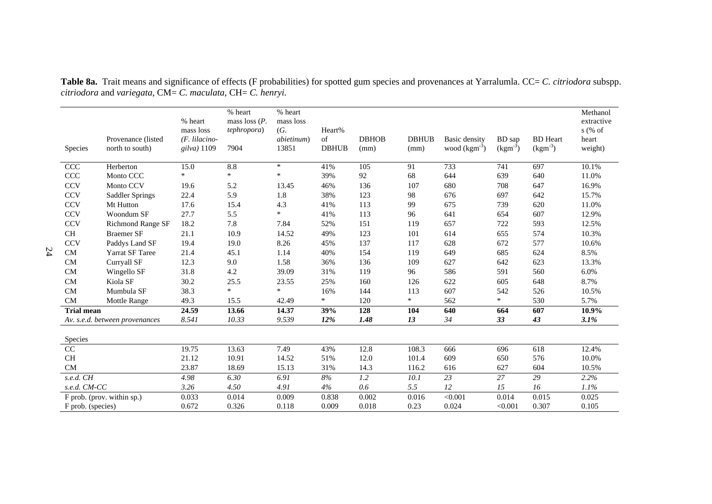<span id="page-33-0"></span>

| Species           | Provenance (listed<br>north to south) | % heart<br>mass loss<br>$(F.$ lilacino-<br>gilva) $1109$ | % heart<br>mass loss $(P,$<br><i>tephropora</i> )<br>7904 | % heart<br>mass loss<br>(G.<br>abietinum)<br>13851 | Heart%<br>of<br><b>DBHUB</b> | <b>DBHOB</b><br>(mm) | <b>DBHUB</b><br>(mm) | Basic density<br>wood $(kgm-3)$ | BD sap<br>$(kgm-3)$ | <b>BD</b> Heart<br>$(kgm-3)$ | Methanol<br>extractive<br>$s$ (% of<br>heart<br>weight) |
|-------------------|---------------------------------------|----------------------------------------------------------|-----------------------------------------------------------|----------------------------------------------------|------------------------------|----------------------|----------------------|---------------------------------|---------------------|------------------------------|---------------------------------------------------------|
| CCC               | Herberton                             | 15.0                                                     | 8.8                                                       | $\ast$                                             | 41%                          | 105                  | 91                   | 733                             | 741                 | 697                          | 10.1%                                                   |
| CCC               | Monto CCC                             | $\ast$                                                   | $\ast$                                                    | $\ast$                                             | 39%                          | 92                   | 68                   | 644                             | 639                 | 640                          | 11.0%                                                   |
| <b>CCV</b>        | Monto CCV                             | 19.6                                                     | 5.2                                                       | 13.45                                              | 46%                          | 136                  | 107                  | 680                             | 708                 | 647                          | 16.9%                                                   |
| <b>CCV</b>        | Saddler Springs                       | 22.4                                                     | 5.9                                                       | 1.8                                                | 38%                          | 123                  | 98                   | 676                             | 697                 | 642                          | 15.7%                                                   |
| <b>CCV</b>        | Mt Hutton                             | 17.6                                                     | 15.4                                                      | 4.3                                                | 41%                          | 113                  | 99                   | 675                             | 739                 | 620                          | 11.0%                                                   |
| <b>CCV</b>        | Woondum SF                            | 27.7                                                     | 5.5                                                       | $\ast$                                             | 41%                          | 113                  | 96                   | 641                             | 654                 | 607                          | 12.9%                                                   |
| <b>CCV</b>        | <b>Richmond Range SF</b>              | 18.2                                                     | 7.8                                                       | 7.84                                               | 52%                          | 151                  | 119                  | 657                             | 722                 | 593                          | 12.5%                                                   |
| <b>CH</b>         | <b>Braemer SF</b>                     | 21.1                                                     | 10.9                                                      | 14.52                                              | 49%                          | 123                  | 101                  | 614                             | 655                 | 574                          | 10.3%                                                   |
| <b>CCV</b>        | Paddys Land SF                        | 19.4                                                     | 19.0                                                      | 8.26                                               | 45%                          | 137                  | 117                  | 628                             | 672                 | 577                          | 10.6%                                                   |
| CM                | Yarrat SF Taree                       | 21.4                                                     | 45.1                                                      | 1.14                                               | 40%                          | 154                  | 119                  | 649                             | 685                 | 624                          | 8.5%                                                    |
| CM                | Curryall SF                           | 12.3                                                     | 9.0                                                       | 1.58                                               | 36%                          | 136                  | 109                  | 627                             | 642                 | 623                          | 13.3%                                                   |
| ${\rm CM}$        | Wingello SF                           | 31.8                                                     | 4.2                                                       | 39.09                                              | 31%                          | 119                  | 96                   | 586                             | 591                 | 560                          | 6.0%                                                    |
| <b>CM</b>         | Kiola SF                              | 30.2                                                     | 25.5                                                      | 23.55                                              | 25%                          | 160                  | 126                  | 622                             | 605                 | 648                          | 8.7%                                                    |
| CM                | Mumbula SF                            | 38.3                                                     | $\ast$                                                    | $\ast$                                             | 16%                          | 144                  | 113                  | 607                             | 542                 | 526                          | 10.5%                                                   |
| CM                | Mottle Range                          | 49.3                                                     | 15.5                                                      | 42.49                                              | $\ast$                       | 120                  | $\ast$               | 562                             | $\ast$              | 530                          | 5.7%                                                    |
| <b>Trial mean</b> |                                       | 24.59                                                    | 13.66                                                     | 14.37                                              | 39%                          | 128                  | 104                  | 640                             | 664                 | 607                          | 10.9%                                                   |
|                   | Av. s.e.d. between provenances        | 8.541                                                    | 10.33                                                     | 9.539                                              | 12%                          | 1.48                 | 13                   | 34                              | 33                  | 43                           | 3.1%                                                    |
| Species           |                                       |                                                          |                                                           |                                                    |                              |                      |                      |                                 |                     |                              |                                                         |
| CC                |                                       | 19.75                                                    | 13.63                                                     | 7.49                                               | 43%                          | 12.8                 | 108.3                | 666                             | 696                 | 618                          | 12.4%                                                   |
| $\rm CH$          |                                       | 21.12                                                    | 10.91                                                     | 14.52                                              | 51%                          | 12.0                 | 101.4                | 609                             | 650                 | 576                          | 10.0%                                                   |
| CM                |                                       | 23.87                                                    | 18.69                                                     | 15.13                                              | 31%                          | 14.3                 | 116.2                | 616                             | 627                 | 604                          | 10.5%                                                   |
| s.e.d. CH         |                                       | 4.98                                                     | 6.30                                                      | 6.91                                               | 8%                           | $\overline{1.2}$     | 10.1                 | $\overline{23}$                 | $\overline{27}$     | $\overline{29}$              | 2.2%                                                    |
| s.e.d. CM-CC      |                                       | 3.26                                                     | 4.50                                                      | 4.91                                               | 4%                           | 0.6                  | 5.5                  | 12                              | 15                  | 16                           | 1.1%                                                    |
|                   | F prob. (prov. within sp.)            | 0.033                                                    | 0.014                                                     | 0.009                                              | 0.838                        | 0.002                | 0.016                | < 0.001                         | 0.014               | 0.015                        | 0.025                                                   |
| F prob. (species) |                                       | 0.672                                                    | 0.326                                                     | 0.118                                              | 0.009                        | 0.018                | 0.23                 | 0.024                           | < 0.001             | 0.307                        | 0.105                                                   |

**Table 8a.** Trait means and significance of effects (F probabilities) for spotted gum species and provenances at Yarralumla. CC= *C. citriodora* subspp. *citriodora* and *variegata*, CM= *C. maculata*, CH= *C. henryi.*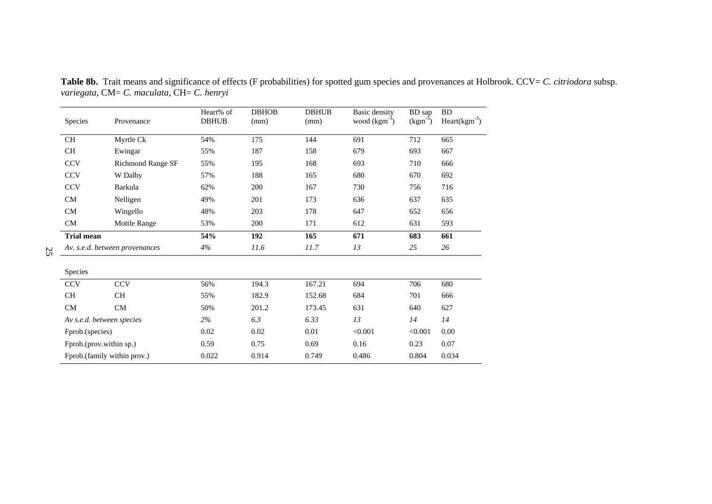<span id="page-34-0"></span>

| Species           | Provenance                     | Heart% of<br><b>DBHUB</b> | <b>DBHOB</b><br>(mm) | <b>DBHUB</b><br>(mm) | Basic density<br>wood $(kgm-3)$ | BD sap<br>$\text{(kgm}^3)$ | <b>BD</b><br>$Heart(kgm-3)$ |
|-------------------|--------------------------------|---------------------------|----------------------|----------------------|---------------------------------|----------------------------|-----------------------------|
| <b>CH</b>         | Myrtle Ck                      | 54%                       | 175                  | 144                  | 691                             | 712                        | 665                         |
| <b>CH</b>         | Ewingar                        | 55%                       | 187                  | 158                  | 679                             | 693                        | 667                         |
| <b>CCV</b>        | <b>Richmond Range SF</b>       | 55%                       | 195                  | 168                  | 693                             | 710                        | 666                         |
| <b>CCV</b>        | W Dalby                        | 57%                       | 188                  | 165                  | 680                             | 670                        | 692                         |
| <b>CCV</b>        | Barkula                        | 62%                       | 200                  | 167                  | 730                             | 756                        | 716                         |
| ${\rm CM}$        | Nelligen                       | 49%                       | 201                  | 173                  | 636                             | 637                        | 635                         |
| CM                | Wingello                       | 48%                       | 203                  | 178                  | 647                             | 652                        | 656                         |
| <b>CM</b>         | Mottle Range                   | 53%                       | 200                  | 171                  | 612                             | 631                        | 593                         |
| <b>Trial mean</b> |                                | 54%                       | 192                  | 165                  | 671                             | 683                        | 661                         |
|                   | Av. s.e.d. between provenances | 4%                        | 11.6                 | 11.7                 | 13                              | 25                         | 26                          |
| Species           |                                |                           |                      |                      |                                 |                            |                             |
| <b>CCV</b>        | <b>CCV</b>                     | 56%                       | 194.3                | 167.21               | 694                             | 706                        | 680                         |
| <b>CH</b>         | <b>CH</b>                      | 55%                       | 182.9                | 152.68               | 684                             | 701                        | 666                         |
| ${\rm CM}$        | ${\rm CM}$                     | 50%                       | 201.2                | 173.45               | 631                             | 640                        | 627                         |
|                   | Av s.e.d. between species      | 2%                        | 6.3                  | 6.33                 | 13                              | 14                         | 14                          |
| Fprob.(species)   |                                | 0.02                      | 0.02                 | 0.01                 | < 0.001                         | < 0.001                    | 0.00                        |
|                   | Fprob.(prov.within sp.)        | 0.59                      | 0.75                 | 0.69                 | 0.16                            | 0.23                       | 0.07                        |
|                   | Fprob.(family within prov.)    | 0.022                     | 0.914                | 0.749                | 0.486                           | 0.804                      | 0.034                       |

**Table 8b.** Trait means and significance of effects (F probabilities) for spotted gum species and provenances at Holbrook. CCV= *C. citriodora* subsp. *variegata*, CM= *C. maculata*, CH= *C. henryi*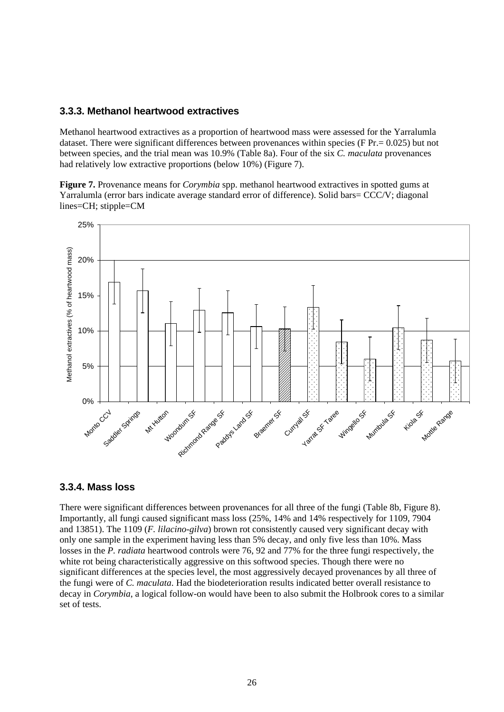#### <span id="page-35-0"></span>**3.3.3. Methanol heartwood extractives**

Methanol heartwood extractives as a proportion of heartwood mass were assessed for the Yarralumla dataset. There were significant differences between provenances within species (F Pr. = 0.025) but not between species, and the trial mean was 10.9% (Table 8a). Four of the six *C. maculata* provenances had relatively low extractive proportions (below 10%) (Figure 7).

**Figure 7.** Provenance means for *Corymbia* spp. methanol heartwood extractives in spotted gums at Yarralumla (error bars indicate average standard error of difference). Solid bars= CCC/V; diagonal lines=CH; stipple=CM



#### **3.3.4. Mass loss**

There were significant differences between provenances for all three of the fungi (Table 8b, Figure 8). Importantly, all fungi caused significant mass loss (25%, 14% and 14% respectively for 1109, 7904 and 13851). The 1109 (*F. lilacino-gilva*) brown rot consistently caused very significant decay with only one sample in the experiment having less than 5% decay, and only five less than 10%. Mass losses in the *P. radiata* heartwood controls were 76, 92 and 77% for the three fungi respectively, the white rot being characteristically aggressive on this softwood species. Though there were no significant differences at the species level, the most aggressively decayed provenances by all three of the fungi were of *C. maculata*. Had the biodeterioration results indicated better overall resistance to decay in *Corymbia*, a logical follow-on would have been to also submit the Holbrook cores to a similar set of tests.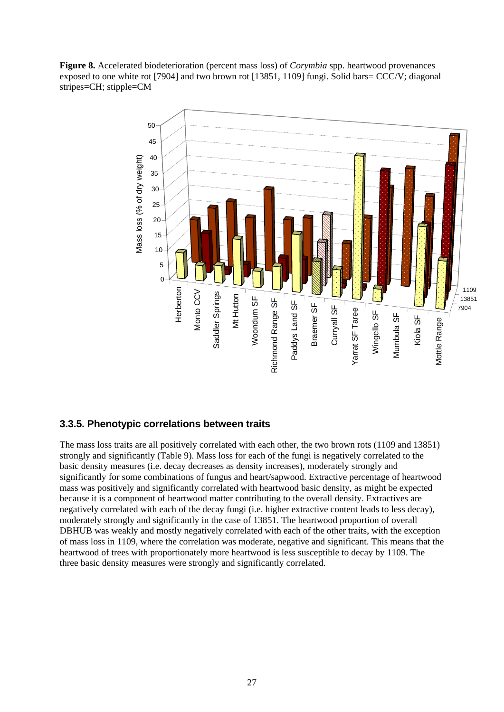<span id="page-36-0"></span>**Figure 8.** Accelerated biodeterioration (percent mass loss) of *Corymbia* spp. heartwood provenances exposed to one white rot [7904] and two brown rot [13851, 1109] fungi. Solid bars= CCC/V; diagonal stripes=CH; stipple=CM



#### **3.3.5. Phenotypic correlations between traits**

The mass loss traits are all positively correlated with each other, the two brown rots (1109 and 13851) strongly and significantly (Table 9). Mass loss for each of the fungi is negatively correlated to the basic density measures (i.e. decay decreases as density increases), moderately strongly and significantly for some combinations of fungus and heart/sapwood. Extractive percentage of heartwood mass was positively and significantly correlated with heartwood basic density, as might be expected because it is a component of heartwood matter contributing to the overall density. Extractives are negatively correlated with each of the decay fungi (i.e. higher extractive content leads to less decay), moderately strongly and significantly in the case of 13851. The heartwood proportion of overall DBHUB was weakly and mostly negatively correlated with each of the other traits, with the exception of mass loss in 1109, where the correlation was moderate, negative and significant. This means that the heartwood of trees with proportionately more heartwood is less susceptible to decay by 1109. The three basic density measures were strongly and significantly correlated.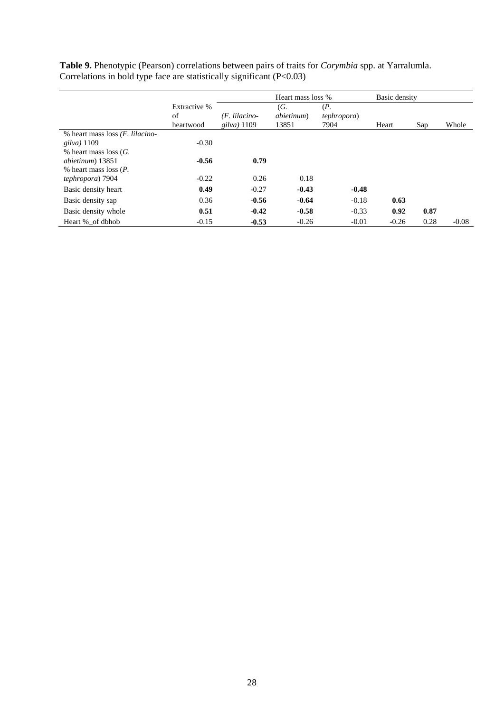|                                          | Extractive % | Heart mass loss % |                    |                     | Basic density |      |         |
|------------------------------------------|--------------|-------------------|--------------------|---------------------|---------------|------|---------|
|                                          |              |                   | (G.                | (P,                 |               |      |         |
|                                          | of           | (F. lilacino-     | <i>abietinum</i> ) | <i>tephropora</i> ) |               |      |         |
|                                          | heartwood    | gilva) $1109$     | 13851              | 7904                | Heart         | Sap  | Whole   |
| % heart mass loss ( <i>F. lilacino</i> - |              |                   |                    |                     |               |      |         |
| $gilva$ ) 1109                           | $-0.30$      |                   |                    |                     |               |      |         |
| $%$ heart mass loss ( <i>G</i> .         |              |                   |                    |                     |               |      |         |
| <i>abietinum</i> ) 13851                 | $-0.56$      | 0.79              |                    |                     |               |      |         |
| $%$ heart mass loss $(P.$                |              |                   |                    |                     |               |      |         |
| tephropora) 7904                         | $-0.22$      | 0.26              | 0.18               |                     |               |      |         |
| Basic density heart                      | 0.49         | $-0.27$           | $-0.43$            | $-0.48$             |               |      |         |
| Basic density sap                        | 0.36         | $-0.56$           | $-0.64$            | $-0.18$             | 0.63          |      |         |
| Basic density whole                      | 0.51         | $-0.42$           | $-0.58$            | $-0.33$             | 0.92          | 0.87 |         |
| Heart % of dbhob                         | $-0.15$      | $-0.53$           | $-0.26$            | $-0.01$             | $-0.26$       | 0.28 | $-0.08$ |

**Table 9.** Phenotypic (Pearson) correlations between pairs of traits for *Corymbia* spp. at Yarralumla. Correlations in bold type face are statistically significant (P<0.03)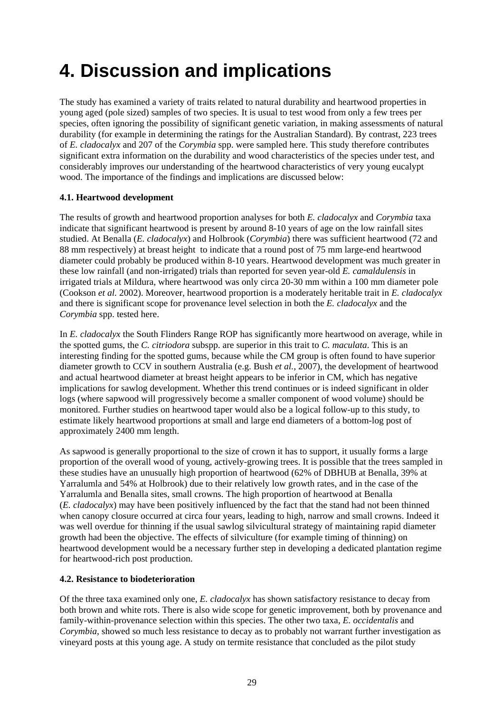## <span id="page-38-0"></span>**4. Discussion and implications**

The study has examined a variety of traits related to natural durability and heartwood properties in young aged (pole sized) samples of two species. It is usual to test wood from only a few trees per species, often ignoring the possibility of significant genetic variation, in making assessments of natural durability (for example in determining the ratings for the Australian Standard). By contrast, 223 trees of *E. cladocalyx* and 207 of the *Corymbia* spp. were sampled here. This study therefore contributes significant extra information on the durability and wood characteristics of the species under test, and considerably improves our understanding of the heartwood characteristics of very young eucalypt wood. The importance of the findings and implications are discussed below:

#### **4.1. Heartwood development**

The results of growth and heartwood proportion analyses for both *E. cladocalyx* and *Corymbia* taxa indicate that significant heartwood is present by around 8-10 years of age on the low rainfall sites studied. At Benalla (*E. cladocalyx*) and Holbrook (*Corymbia*) there was sufficient heartwood (72 and 88 mm respectively) at breast height to indicate that a round post of 75 mm large-end heartwood diameter could probably be produced within 8-10 years. Heartwood development was much greater in these low rainfall (and non-irrigated) trials than reported for seven year-old *E. camaldulensis* in irrigated trials at Mildura, where heartwood was only circa 20-30 mm within a 100 mm diameter pole (Cookson *et al.* 2002). Moreover, heartwood proportion is a moderately heritable trait in *E. cladocalyx* and there is significant scope for provenance level selection in both the *E. cladocalyx* and the *Corymbia* spp. tested here.

In *E. cladocalyx* the South Flinders Range ROP has significantly more heartwood on average, while in the spotted gums, the *C. citriodora* subspp. are superior in this trait to *C. maculata*. This is an interesting finding for the spotted gums, because while the CM group is often found to have superior diameter growth to CCV in southern Australia (e.g. Bush *et al.*, 2007), the development of heartwood and actual heartwood diameter at breast height appears to be inferior in CM, which has negative implications for sawlog development. Whether this trend continues or is indeed significant in older logs (where sapwood will progressively become a smaller component of wood volume) should be monitored. Further studies on heartwood taper would also be a logical follow-up to this study, to estimate likely heartwood proportions at small and large end diameters of a bottom-log post of approximately 2400 mm length.

As sapwood is generally proportional to the size of crown it has to support, it usually forms a large proportion of the overall wood of young, actively-growing trees. It is possible that the trees sampled in these studies have an unusually high proportion of heartwood (62% of DBHUB at Benalla, 39% at Yarralumla and 54% at Holbrook) due to their relatively low growth rates, and in the case of the Yarralumla and Benalla sites, small crowns. The high proportion of heartwood at Benalla (*E. cladocalyx*) may have been positively influenced by the fact that the stand had not been thinned when canopy closure occurred at circa four years, leading to high, narrow and small crowns. Indeed it was well overdue for thinning if the usual sawlog silvicultural strategy of maintaining rapid diameter growth had been the objective. The effects of silviculture (for example timing of thinning) on heartwood development would be a necessary further step in developing a dedicated plantation regime for heartwood-rich post production.

#### **4.2. Resistance to biodeterioration**

Of the three taxa examined only one, *E. cladocalyx* has shown satisfactory resistance to decay from both brown and white rots. There is also wide scope for genetic improvement, both by provenance and family-within-provenance selection within this species. The other two taxa, *E. occidentalis* and *Corymbia*, showed so much less resistance to decay as to probably not warrant further investigation as vineyard posts at this young age. A study on termite resistance that concluded as the pilot study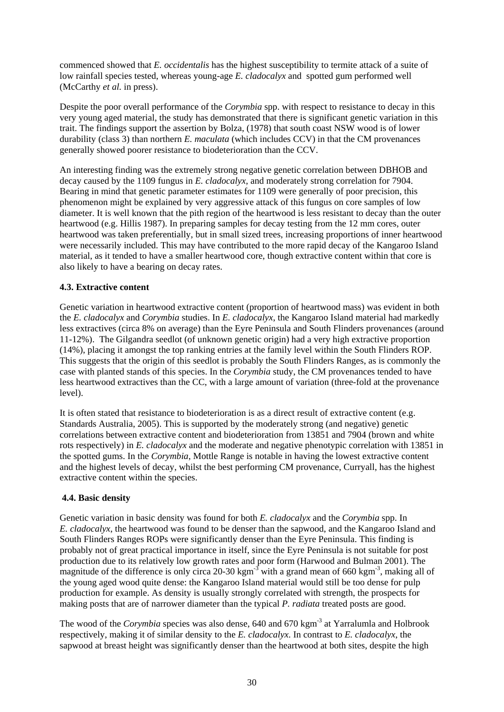commenced showed that *E. occidentalis* has the highest susceptibility to termite attack of a suite of low rainfall species tested, whereas young-age *E. cladocalyx* and spotted gum performed well (McCarthy *et al.* in press).

Despite the poor overall performance of the *Corymbia* spp. with respect to resistance to decay in this very young aged material, the study has demonstrated that there is significant genetic variation in this trait. The findings support the assertion by Bolza, (1978) that south coast NSW wood is of lower durability (class 3) than northern *E. maculata* (which includes CCV) in that the CM provenances generally showed poorer resistance to biodeterioration than the CCV.

An interesting finding was the extremely strong negative genetic correlation between DBHOB and decay caused by the 1109 fungus in *E. cladocalyx*, and moderately strong correlation for 7904. Bearing in mind that genetic parameter estimates for 1109 were generally of poor precision, this phenomenon might be explained by very aggressive attack of this fungus on core samples of low diameter. It is well known that the pith region of the heartwood is less resistant to decay than the outer heartwood (e.g. Hillis 1987). In preparing samples for decay testing from the 12 mm cores, outer heartwood was taken preferentially, but in small sized trees, increasing proportions of inner heartwood were necessarily included. This may have contributed to the more rapid decay of the Kangaroo Island material, as it tended to have a smaller heartwood core, though extractive content within that core is also likely to have a bearing on decay rates.

#### **4.3. Extractive content**

Genetic variation in heartwood extractive content (proportion of heartwood mass) was evident in both the *E. cladocalyx* and *Corymbia* studies. In *E. cladocalyx*, the Kangaroo Island material had markedly less extractives (circa 8% on average) than the Eyre Peninsula and South Flinders provenances (around 11-12%). The Gilgandra seedlot (of unknown genetic origin) had a very high extractive proportion (14%), placing it amongst the top ranking entries at the family level within the South Flinders ROP. This suggests that the origin of this seedlot is probably the South Flinders Ranges, as is commonly the case with planted stands of this species. In the *Corymbia* study, the CM provenances tended to have less heartwood extractives than the CC, with a large amount of variation (three-fold at the provenance level).

It is often stated that resistance to biodeterioration is as a direct result of extractive content (e.g. Standards Australia, 2005). This is supported by the moderately strong (and negative) genetic correlations between extractive content and biodeterioration from 13851 and 7904 (brown and white rots respectively) in *E. cladocalyx* and the moderate and negative phenotypic correlation with 13851 in the spotted gums. In the *Corymbia*, Mottle Range is notable in having the lowest extractive content and the highest levels of decay, whilst the best performing CM provenance, Curryall, has the highest extractive content within the species.

#### **4.4. Basic density**

Genetic variation in basic density was found for both *E. cladocalyx* and the *Corymbia* spp. In *E. cladocalyx*, the heartwood was found to be denser than the sapwood, and the Kangaroo Island and South Flinders Ranges ROPs were significantly denser than the Eyre Peninsula. This finding is probably not of great practical importance in itself, since the Eyre Peninsula is not suitable for post production due to its relatively low growth rates and poor form (Harwood and Bulman 2001). The magnitude of the difference is only circa 20-30 kgm<sup>-3</sup> with a grand mean of 660 kgm<sup>-3</sup>, making all of the young aged wood quite dense: the Kangaroo Island material would still be too dense for pulp production for example. As density is usually strongly correlated with strength, the prospects for making posts that are of narrower diameter than the typical *P. radiata* treated posts are good.

The wood of the *Corymbia* species was also dense, 640 and 670 kgm<sup>-3</sup> at Yarralumla and Holbrook respectively, making it of similar density to the *E. cladocalyx*. In contrast to *E. cladocalyx*, the sapwood at breast height was significantly denser than the heartwood at both sites, despite the high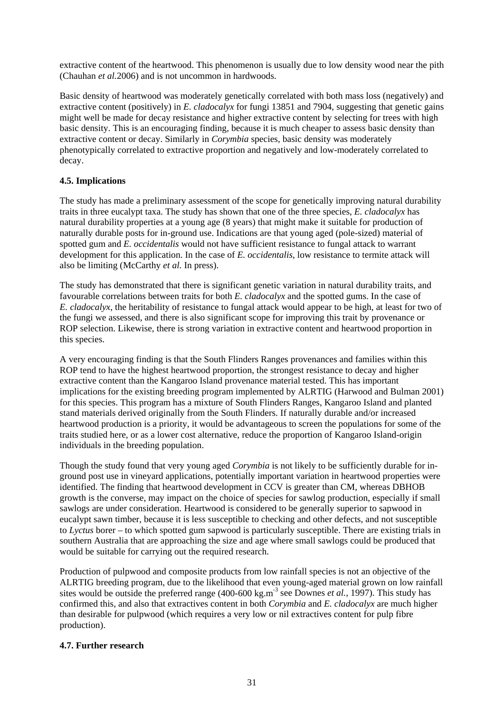extractive content of the heartwood. This phenomenon is usually due to low density wood near the pith (Chauhan *et al.*2006) and is not uncommon in hardwoods.

Basic density of heartwood was moderately genetically correlated with both mass loss (negatively) and extractive content (positively) in *E. cladocalyx* for fungi 13851 and 7904, suggesting that genetic gains might well be made for decay resistance and higher extractive content by selecting for trees with high basic density. This is an encouraging finding, because it is much cheaper to assess basic density than extractive content or decay. Similarly in *Corymbia* species, basic density was moderately phenotypically correlated to extractive proportion and negatively and low-moderately correlated to decay.

#### **4.5. Implications**

The study has made a preliminary assessment of the scope for genetically improving natural durability traits in three eucalypt taxa. The study has shown that one of the three species, *E. cladocalyx* has natural durability properties at a young age (8 years) that might make it suitable for production of naturally durable posts for in-ground use. Indications are that young aged (pole-sized) material of spotted gum and *E. occidentalis* would not have sufficient resistance to fungal attack to warrant development for this application. In the case of *E. occidentalis*, low resistance to termite attack will also be limiting (McCarthy *et al.* In press).

The study has demonstrated that there is significant genetic variation in natural durability traits, and favourable correlations between traits for both *E. cladocalyx* and the spotted gums. In the case of *E. cladocalyx*, the heritability of resistance to fungal attack would appear to be high, at least for two of the fungi we assessed, and there is also significant scope for improving this trait by provenance or ROP selection. Likewise, there is strong variation in extractive content and heartwood proportion in this species.

A very encouraging finding is that the South Flinders Ranges provenances and families within this ROP tend to have the highest heartwood proportion, the strongest resistance to decay and higher extractive content than the Kangaroo Island provenance material tested. This has important implications for the existing breeding program implemented by ALRTIG (Harwood and Bulman 2001) for this species. This program has a mixture of South Flinders Ranges, Kangaroo Island and planted stand materials derived originally from the South Flinders. If naturally durable and/or increased heartwood production is a priority, it would be advantageous to screen the populations for some of the traits studied here, or as a lower cost alternative, reduce the proportion of Kangaroo Island-origin individuals in the breeding population.

Though the study found that very young aged *Corymbia* is not likely to be sufficiently durable for inground post use in vineyard applications, potentially important variation in heartwood properties were identified. The finding that heartwood development in CCV is greater than CM, whereas DBHOB growth is the converse, may impact on the choice of species for sawlog production, especially if small sawlogs are under consideration. Heartwood is considered to be generally superior to sapwood in eucalypt sawn timber, because it is less susceptible to checking and other defects, and not susceptible to *Lyctus* borer – to which spotted gum sapwood is particularly susceptible. There are existing trials in southern Australia that are approaching the size and age where small sawlogs could be produced that would be suitable for carrying out the required research.

Production of pulpwood and composite products from low rainfall species is not an objective of the ALRTIG breeding program, due to the likelihood that even young-aged material grown on low rainfall sites would be outside the preferred range (400-600 kg.m-3 see Downes *et al.*, 1997). This study has confirmed this, and also that extractives content in both *Corymbia* and *E. cladocalyx* are much higher than desirable for pulpwood (which requires a very low or nil extractives content for pulp fibre production).

#### **4.7. Further research**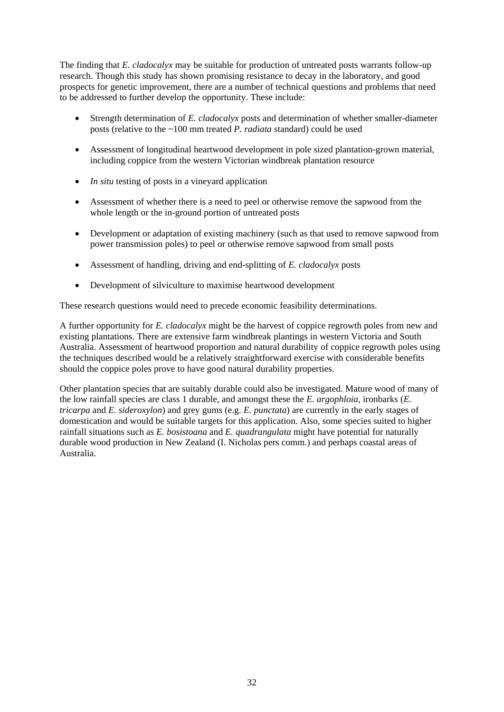The finding that *E. cladocalyx* may be suitable for production of untreated posts warrants follow-up research. Though this study has shown promising resistance to decay in the laboratory, and good prospects for genetic improvement, there are a number of technical questions and problems that need to be addressed to further develop the opportunity. These include:

- Strength determination of *E. cladocalyx* posts and determination of whether smaller-diameter posts (relative to the ~100 mm treated *P. radiata* standard) could be used
- Assessment of longitudinal heartwood development in pole sized plantation-grown material, including coppice from the western Victorian windbreak plantation resource
- *In situ* testing of posts in a vineyard application
- Assessment of whether there is a need to peel or otherwise remove the sapwood from the whole length or the in-ground portion of untreated posts
- Development or adaptation of existing machinery (such as that used to remove sapwood from power transmission poles) to peel or otherwise remove sapwood from small posts
- Assessment of handling, driving and end-splitting of *E. cladocalyx* posts
- Development of silviculture to maximise heartwood development

These research questions would need to precede economic feasibility determinations.

A further opportunity for *E. cladocalyx* might be the harvest of coppice regrowth poles from new and existing plantations. There are extensive farm windbreak plantings in western Victoria and South Australia. Assessment of heartwood proportion and natural durability of coppice regrowth poles using the techniques described would be a relatively straightforward exercise with considerable benefits should the coppice poles prove to have good natural durability properties.

Other plantation species that are suitably durable could also be investigated. Mature wood of many of the low rainfall species are class 1 durable, and amongst these the *E. argophloia*, ironbarks (*E. tricarpa* and *E. sideroxylon*) and grey gums (e.g. *E. punctata*) are currently in the early stages of domestication and would be suitable targets for this application. Also, some species suited to higher rainfall situations such as *E. bosistoana* and *E. quadrangulata* might have potential for naturally durable wood production in New Zealand (I. Nicholas pers comm.) and perhaps coastal areas of Australia.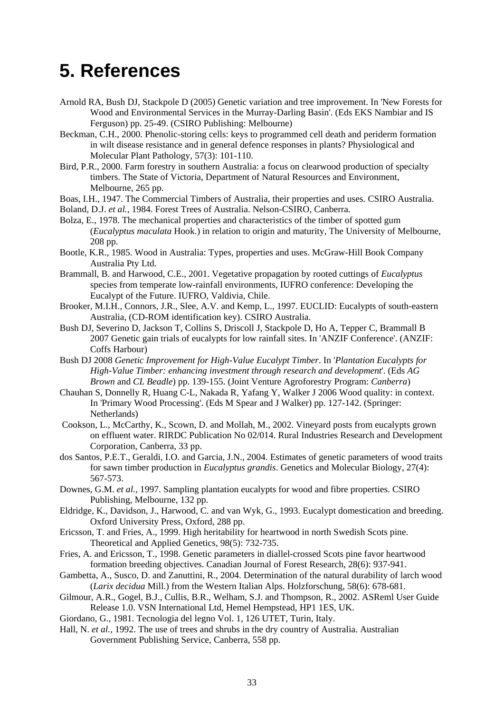## <span id="page-42-0"></span>**5. References**

- Arnold RA, Bush DJ, Stackpole D (2005) Genetic variation and tree improvement. In 'New Forests for Wood and Environmental Services in the Murray-Darling Basin'. (Eds EKS Nambiar and IS Ferguson) pp. 25-49. (CSIRO Publishing: Melbourne)
- Beckman, C.H., 2000. Phenolic-storing cells: keys to programmed cell death and periderm formation in wilt disease resistance and in general defence responses in plants? Physiological and Molecular Plant Pathology, 57(3): 101-110.
- Bird, P.R., 2000. Farm forestry in southern Australia: a focus on clearwood production of specialty timbers. The State of Victoria, Department of Natural Resources and Environment, Melbourne, 265 pp.
- Boas, I.H., 1947. The Commercial Timbers of Australia, their properties and uses. CSIRO Australia.
- Boland, D.J. *et al.*, 1984. Forest Trees of Australia. Nelson-CSIRO, Canberra.
- Bolza, E., 1978. The mechanical properties and characteristics of the timber of spotted gum (*Eucalyptus maculata* Hook.) in relation to origin and maturity, The University of Melbourne, 208 pp.
- Bootle, K.R., 1985. Wood in Australia: Types, properties and uses. McGraw-Hill Book Company Australia Pty Ltd.
- Brammall, B. and Harwood, C.E., 2001. Vegetative propagation by rooted cuttings of *Eucalyptus*  species from temperate low-rainfall environments, IUFRO conference: Developing the Eucalypt of the Future. IUFRO, Valdivia, Chile.
- Brooker, M.I.H., Connors, J.R., Slee, A.V. and Kemp, L., 1997. EUCLID: Eucalypts of south-eastern Australia, (CD-ROM identification key). CSIRO Australia.
- Bush DJ, Severino D, Jackson T, Collins S, Driscoll J, Stackpole D, Ho A, Tepper C, Brammall B 2007 Genetic gain trials of eucalypts for low rainfall sites. In 'ANZIF Conference'. (ANZIF: Coffs Harbour)
- Bush DJ 2008 *Genetic Improvement for High-Value Eucalypt Timber*. In '*Plantation Eucalypts for High-Value Timber: enhancing investment through research and development*'. (Eds *AG Brown* and *CL Beadle*) pp. 139-155. (Joint Venture Agroforestry Program: *Canberra*)
- Chauhan S, Donnelly R, Huang C-L, Nakada R, Yafang Y, Walker J 2006 Wood quality: in context. In 'Primary Wood Processing'. (Eds M Spear and J Walker) pp. 127-142. (Springer: Netherlands)
- Cookson, L., McCarthy, K., Scown, D. and Mollah, M., 2002. Vineyard posts from eucalypts grown on effluent water. RIRDC Publication No 02/014. Rural Industries Research and Development Corporation, Canberra, 33 pp.
- dos Santos, P.E.T., Geraldi, I.O. and Garcia, J.N., 2004. Estimates of genetic parameters of wood traits for sawn timber production in *Eucalyptus grandis*. Genetics and Molecular Biology, 27(4): 567-573.
- Downes, G.M. *et al.*, 1997. Sampling plantation eucalypts for wood and fibre properties. CSIRO Publishing, Melbourne, 132 pp.
- Eldridge, K., Davidson, J., Harwood, C. and van Wyk, G., 1993. Eucalypt domestication and breeding. Oxford University Press, Oxford, 288 pp.
- Ericsson, T. and Fries, A., 1999. High heritability for heartwood in north Swedish Scots pine. Theoretical and Applied Genetics, 98(5): 732-735.
- Fries, A. and Ericsson, T., 1998. Genetic parameters in diallel-crossed Scots pine favor heartwood formation breeding objectives. Canadian Journal of Forest Research, 28(6): 937-941.
- Gambetta, A., Susco, D. and Zanuttini, R., 2004. Determination of the natural durability of larch wood (*Larix decidua* Mill.) from the Western Italian Alps. Holzforschung, 58(6): 678-681.
- Gilmour, A.R., Gogel, B.J., Cullis, B.R., Welham, S.J. and Thompson, R., 2002. ASReml User Guide Release 1.0. VSN International Ltd, Hemel Hempstead, HP1 1ES, UK.
- Giordano, G., 1981. Tecnologia del legno Vol. 1, 126 UTET, Turin, Italy.
- Hall, N. *et al.*, 1992. The use of trees and shrubs in the dry country of Australia. Australian Government Publishing Service, Canberra, 558 pp.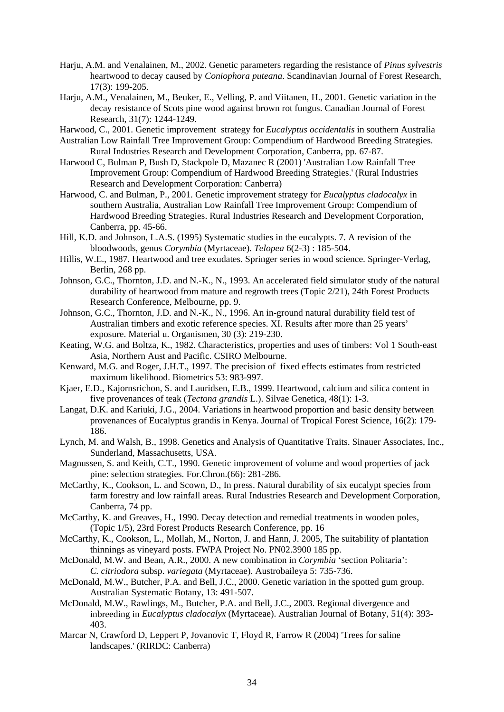- Harju, A.M. and Venalainen, M., 2002. Genetic parameters regarding the resistance of *Pinus sylvestris* heartwood to decay caused by *Coniophora puteana*. Scandinavian Journal of Forest Research, 17(3): 199-205.
- Harju, A.M., Venalainen, M., Beuker, E., Velling, P. and Viitanen, H., 2001. Genetic variation in the decay resistance of Scots pine wood against brown rot fungus. Canadian Journal of Forest Research, 31(7): 1244-1249.
- Harwood, C., 2001. Genetic improvement strategy for *Eucalyptus occidentalis* in southern Australia
- Australian Low Rainfall Tree Improvement Group: Compendium of Hardwood Breeding Strategies. Rural Industries Research and Development Corporation, Canberra, pp. 67-87.
- Harwood C, Bulman P, Bush D, Stackpole D, Mazanec R (2001) 'Australian Low Rainfall Tree Improvement Group: Compendium of Hardwood Breeding Strategies.' (Rural Industries Research and Development Corporation: Canberra)
- Harwood, C. and Bulman, P., 2001. Genetic improvement strategy for *Eucalyptus cladocalyx* in southern Australia, Australian Low Rainfall Tree Improvement Group: Compendium of Hardwood Breeding Strategies. Rural Industries Research and Development Corporation, Canberra, pp. 45-66.
- Hill, K.D. and Johnson, L.A.S. (1995) Systematic studies in the eucalypts. 7. A revision of the bloodwoods, genus *Corymbia* (Myrtaceae). *Telopea* 6(2-3) : 185-504.
- Hillis, W.E., 1987. Heartwood and tree exudates. Springer series in wood science. Springer-Verlag, Berlin, 268 pp.
- Johnson, G.C., Thornton, J.D. and N.-K., N., 1993. An accelerated field simulator study of the natural durability of heartwood from mature and regrowth trees (Topic 2/21), 24th Forest Products Research Conference, Melbourne, pp. 9.
- Johnson, G.C., Thornton, J.D. and N.-K., N., 1996. An in-ground natural durability field test of Australian timbers and exotic reference species. XI. Results after more than 25 years' exposure. Material u. Organismen, 30 (3): 219-230.
- Keating, W.G. and Boltza, K., 1982. Characteristics, properties and uses of timbers: Vol 1 South-east Asia, Northern Aust and Pacific. CSIRO Melbourne.
- Kenward, M.G. and Roger, J.H.T., 1997. The precision of fixed effects estimates from restricted maximum likelihood. Biometrics 53: 983-997.
- Kjaer, E.D., Kajornsrichon, S. and Lauridsen, E.B., 1999. Heartwood, calcium and silica content in five provenances of teak (*Tectona grandis* L.). Silvae Genetica, 48(1): 1-3.
- Langat, D.K. and Kariuki, J.G., 2004. Variations in heartwood proportion and basic density between provenances of Eucalyptus grandis in Kenya. Journal of Tropical Forest Science, 16(2): 179- 186.
- Lynch, M. and Walsh, B., 1998. Genetics and Analysis of Quantitative Traits. Sinauer Associates, Inc., Sunderland, Massachusetts, USA.
- Magnussen, S. and Keith, C.T., 1990. Genetic improvement of volume and wood properties of jack pine: selection strategies. For.Chron.(66): 281-286.
- McCarthy, K., Cookson, L. and Scown, D., In press. Natural durability of six eucalypt species from farm forestry and low rainfall areas. Rural Industries Research and Development Corporation, Canberra, 74 pp.
- McCarthy, K. and Greaves, H., 1990. Decay detection and remedial treatments in wooden poles, (Topic 1/5), 23rd Forest Products Research Conference, pp. 16
- McCarthy, K., Cookson, L., Mollah, M., Norton, J. and Hann, J. 2005, The suitability of plantation thinnings as vineyard posts. FWPA Project No. PN02.3900 185 pp.
- McDonald, M.W. and Bean, A.R., 2000. A new combination in *Corymbia* 'section Politaria': *C. citriodora* subsp. *variegata* (Myrtaceae). Austrobaileya 5: 735-736.
- McDonald, M.W., Butcher, P.A. and Bell, J.C., 2000. Genetic variation in the spotted gum group. Australian Systematic Botany, 13: 491-507.
- McDonald, M.W., Rawlings, M., Butcher, P.A. and Bell, J.C., 2003. Regional divergence and inbreeding in *Eucalyptus cladocalyx* (Myrtaceae). Australian Journal of Botany, 51(4): 393- 403.
- Marcar N, Crawford D, Leppert P, Jovanovic T, Floyd R, Farrow R (2004) 'Trees for saline landscapes.' (RIRDC: Canberra)